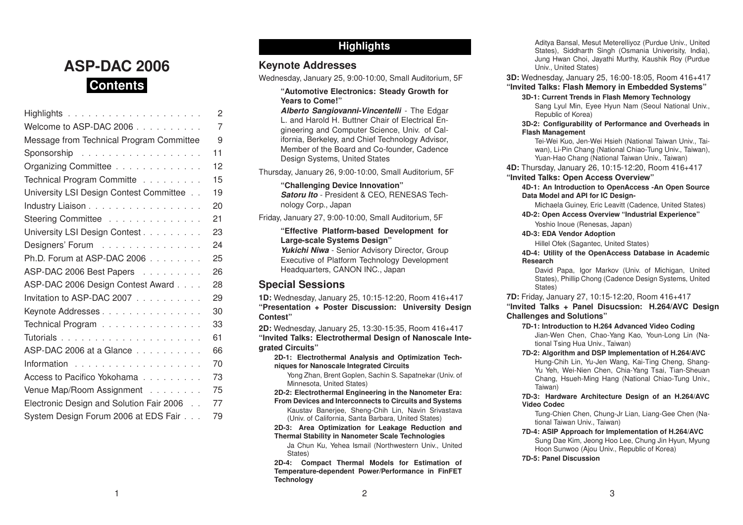# **ASP-DAC 2006Contents**

|                                          | 2              |
|------------------------------------------|----------------|
| Welcome to ASP-DAC 2006                  | $\overline{7}$ |
| Message from Technical Program Committee | 9              |
| Sponsorship                              | 11             |
| Organizing Committee                     | 12             |
| Technical Program Committe               | 15             |
| University LSI Design Contest Committee  | 19             |
| Industry Liaison                         | 20             |
| Steering Committee                       | 21             |
| University LSI Design Contest            | 23             |
| Designers' Forum                         | 24             |
| Ph.D. Forum at ASP-DAC 2006              | 25             |
| ASP-DAC 2006 Best Papers                 | 26             |
| ASP-DAC 2006 Design Contest Award        | 28             |
| Invitation to ASP-DAC 2007               | 29             |
| Keynote Addresses                        | 30             |
| Technical Program                        | 33             |
|                                          | 61             |
| ASP-DAC 2006 at a Glance                 | 66             |
|                                          | 70             |
| Access to Pacifico Yokohama              | 73             |
| Venue Map/Room Assignment                | 75             |
| Electronic Design and Solution Fair 2006 | 77             |
| System Design Forum 2006 at EDS Fair     | 79             |

# **Highlights**

# **Keynote Addresses**

Wednesday, January 25, 9:00-10:00, Small Auditorium, 5F

# **"Automotive Electronics: Steady Growth for Years to Come!"**

*Alberto Sangiovanni-Vincentelli* - The Edgar L. and Harold H. Buttner Chair of Electrical Engineering and Computer Science, Univ. of California, Berkeley, and Chief Technology Advisor, Member of the Board and Co-founder, Cadence Design Systems, United States

Thursday, January 26, 9:00-10:00, Small Auditorium, 5F

**"Challenging Device Innovation"** *Satoru Ito* - President & CEO, RENESAS Technology Corp., Japan

Friday, January 27, 9:00-10:00, Small Auditorium, 5F

**"Effective Platform-based Development for Large-scale Systems Design"** *Yukichi Niwa* - Senior Advisory Director, Group Executive of Platform Technology Development Headquarters, CANON INC., Japan

# **Special Sessions**

**1D:** Wednesday, January 25, 10:15-12:20, Room 416+417 **"Presentation <sup>+</sup> Poster Discussion: University Design Contest"**

**2D:** Wednesday, January 25, 13:30-15:35, Room 416+417 **"Invited Talks: Electrothermal Design of Nanoscale Integrated Circuits"**

**2D-1: Electrothermal Analysis and Optimization Techniques for Nanoscale Integrated Circuits**

Yong Zhan, Brent Goplen, Sachin S. Sapatnekar (Univ. of Minnesota, United States)

**2D-2: Electrothermal Engineering in the Nanometer Era: From Devices and Interconnects to Circuits and Systems**

Kaustav Banerjee, Sheng-Chih Lin, Navin Srivastava (Univ. of California, Santa Barbara, United States)

### **2D-3: Area Optimization for Leakage Reduction and Thermal Stability in Nanometer Scale Technologies**

Ja Chun Ku, Yehea Ismail (Northwestern Univ., United States)

**2D-4: Compact Thermal Models for Estimation of Temperature-dependent Power/Performance in FinFET Technology**

Aditya Bansal, Mesut Meterelliyoz (Purdue Univ., United States), Siddharth Singh (Osmania Univerisity, India), Jung Hwan Choi, Jayathi Murthy, Kaushik Roy (Purdue Univ., United States)

**3D:** Wednesday, January 25, 16:00-18:05, Room 416+417 **"Invited Talks: Flash Memory in Embedded Systems"**

**3D-1: Current Trends in Flash Memory Technology** Sang Lyul Min, Eyee Hyun Nam (Seoul National Univ., Republic of Korea)

### **3D-2: Configurability of Performance and Overheads in Flash Management**

Tei-Wei Kuo, Jen-Wei Hsieh (National Taiwan Univ., Taiwan), Li-Pin Chang (National Chiao-Tung Univ., Taiwan), Yuan-Hao Chang (National Taiwan Univ., Taiwan)

**4D:** Thursday, January 26, 10:15-12:20, Room 416+417

# **"Invited Talks: Open Access Overview"**

**4D-1: An Introduction to OpenAccess -An Open Source Data Model and API for IC Design-**

Michaela Guiney, Eric Leavitt (Cadence, United States) **4D-2: Open Access Overview "Industrial Experience"**

Yoshio Inoue (Renesas, Japan)

# **4D-3: EDA Vendor Adoption**

Hillel Ofek (Sagantec, United States)

**4D-4: Utility of the OpenAccess Database in Academic Research**

David Papa, Igor Markov (Univ. of Michigan, United States), Phillip Chong (Cadence Design Systems, United States)

**7D:** Friday, January 27, 10:15-12:20, Room 416+417

**"Invited Talks <sup>+</sup> Panel Disucssion: H.264/AVC Design Challenges and Solutions"**

# **7D-1: Introduction to H.264 Advanced Video Coding**

Jian-Wen Chen, Chao-Yang Kao, Youn-Long Lin (National Tsing Hua Univ., Taiwan)

# **7D-2: Algorithm and DSP Implementation of H.264/AVC**

Hung-Chih Lin, Yu-Jen Wang, Kai-Ting Cheng, Shang-Yu Yeh, Wei-Nien Chen, Chia-Yang Tsai, Tian-Sheuan Chang, Hsueh-Ming Hang (National Chiao-Tung Univ., Taiwan)

**7D-3: Hardware Architecture Design of an H.264/AVC Video Codec**

Tung-Chien Chen, Chung-Jr Lian, Liang-Gee Chen (National Taiwan Univ., Taiwan)

**7D-4: ASIP Approach for Implementation of H.264/AVC** Sung Dae Kim, Jeong Hoo Lee, Chung Jin Hyun, Myung Hoon Sunwoo (Ajou Univ., Republic of Korea)

**7D-5: Panel Discussion**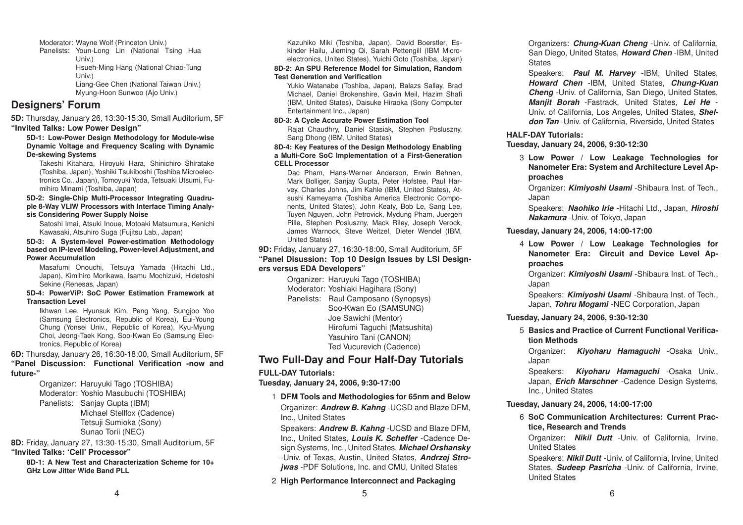Moderator: Wayne Wolf (Princeton Univ.)

Panelists: Youn-Long Lin (National Tsing Hua Univ.) Hsueh-Ming Hang (National Chiao-Tung Univ.) Liang-Gee Chen (National Taiwan Univ.) Myung-Hoon Sunwoo (Ajo Univ.)

# **Designers' Forum**

**5D:** Thursday, January 26, 13:30-15:30, Small Auditorium, 5F **"Invited Talks: Low Power Design"**

**5D-1: Low-Power Design Methodology for Module-wise Dynamic Voltage and Frequency Scaling with Dynamic De-skewing Systems**

Takeshi Kitahara, Hiroyuki Hara, Shinichiro Shiratake (Toshiba, Japan), Yoshiki Tsukiboshi (Toshiba Microelectronics Co., Japan), Tomoyuki Yoda, Tetsuaki Utsumi, Fumihiro Minami (Toshiba, Japan)

**5D-2: Single-Chip Multi-Processor Integrating Quadruple 8-Way VLIW Processors with Interface Timing Analysis Considering Power Supply Noise**

Satoshi Imai, Atsuki Inoue, Motoaki Matsumura, Kenichi Kawasaki, Atsuhiro Suga (Fujitsu Lab., Japan)

### **5D-3: A System-level Power-estimation Methodology based on IP-level Modeling, Power-level Adjustment, and Power Accumulation**

Masafumi Onouchi, Tetsuya Yamada (Hitachi Ltd., Japan), Kimihiro Morikawa, Isamu Mochizuki, Hidetoshi Sekine (Renesas, Japan)

### **5D-4: PowerViP: SoC Power Estimation Framework atTransaction Level**

Ikhwan Lee, Hyunsuk Kim, Peng Yang, Sungjoo Yoo (Samsung Electronics, Republic of Korea), Eui-Young Chung (Yonsei Univ., Republic of Korea), Kyu-Myung Choi, Jeong-Taek Kong, Soo-Kwan Eo (Samsung Electronics, Republic of Korea)

### **6D:** Thursday, January 26, 16:30-18:00, Small Auditorium, 5F **"Panel Discussion: Functional Verification -now and future-"**

Organizer: Haruyuki Tago (TOSHIBA) Moderator: Yoshio Masubuchi (TOSHIBA) Panelists: Sanjay Gupta (IBM) Michael Stellfox (Cadence) Tetsuji Sumioka (Sony) Sunao Torii (NEC)

**8D:** Friday, January 27, 13:30-15:30, Small Auditorium, 5F **"Invited Talks: 'Cell' Processor"**

**8D-1: A New Test and Characterization Scheme for 10+GHz Low Jitter Wide Band PLL**

Kazuhiko Miki (Toshiba, Japan), David Boerstler, Eskinder Hailu, Jieming Qi, Sarah Pettengill (IBM Microelectronics, United States), Yuichi Goto (Toshiba, Japan)

### **8D-2: An SPU Reference Model for Simulation, Random Test Generation and Verification**

Yukio Watanabe (Toshiba, Japan), Balazs Sallay, Brad Michael, Daniel Brokenshire, Gavin Meil, Hazim Shafi (IBM, United States), Daisuke Hiraoka (Sony Computer Entertainment Inc., Japan)

### **8D-3: A Cycle Accurate Power Estimation Tool**

Rajat Chaudhry, Daniel Stasiak, Stephen Posluszny, Sang Dhong (IBM, United States)

### **8D-4: Key Features of the Design Methodology Enabling <sup>a</sup> Multi-Core SoC Implementation of <sup>a</sup> First-Generation CELL Processor**

Dac Pham, Hans-Werner Anderson, Erwin Behnen, Mark Bolliger, Sanjay Gupta, Peter Hofstee, Paul Harvey, Charles Johns, Jim Kahle (IBM, United States), Atsushi Kameyama (Toshiba America Electronic Components, United States), John Keaty, Bob Le, Sang Lee, Tuyen Nguyen, John Petrovick, Mydung Pham, Juergen Pille, Stephen Posluszny, Mack Riley, Joseph Verock, James Warnock, Steve Weitzel, Dieter Wendel (IBM, United States)

### **9D:** Friday, January 27, 16:30-18:00, Small Auditorium, 5F **"Panel Disussion: Top 10 Design Issues by LSI Designers versus EDA Developers"**

Organizer: Haruyuki Tago (TOSHIBA) Moderator: Yoshiaki Hagihara (Sony) Panelists: Raul Camposano (Synopsys) Soo-Kwan Eo (SAMSUNG) Joe Sawichi (Mentor) Hirofumi Taguchi (Matsushita) Yasuhiro Tani (CANON) Ted Vucurevich (Cadence)

# **Two Full-Day and Four Half-Day Tutorials**

# **FULL-DAY Tutorials:**

**Tuesday, January 24, 2006, 9:30-17:00**

# 1 **DFM Tools and Methodologies for 65nm and Below**

Organizer: *Andrew B. Kahng* -UCSD and Blaze DFM, Inc., United States

Speakers: *Andrew B. Kahng* -UCSD and Blaze DFM, Inc., United States, *Louis K. Scheffer* -Cadence Design Systems, Inc., United States, *Michael Orshansky* -Univ. of Texas, Austin, United States, *Andrzej Strojwas* -PDF Solutions, Inc. and CMU, United States

# 2 **High Performance Interconnect and Packaging** 5

Organizers: *Chung-Kuan Cheng* -Univ. of California, San Diego, United States, *Howard Chen* -IBM, United **States** 

Speakers: *Paul M. Harvey* -IBM, United States, *Howard Chen* -IBM, United States, *Chung-Kuan Cheng* -Univ. of California, San Diego, United States, *Manjit Borah* -Fastrack, United States, *Lei He* - Univ. of California, Los Angeles, United States, *Sheldon Tan* -Univ. of California, Riverside, United States

# **HALF-DAY Tutorials:**

**Tuesday, January 24, 2006, 9:30-12:30**

3 **Low Power / Low Leakage Technologies for Nanometer Era: System and Architecture Level Approaches**

Organizer: *Kimiyoshi Usami* -Shibaura Inst. of Tech., Japan

Speakers: *Naohiko Irie* -Hitachi Ltd., Japan, *Hiroshi Nakamura* -Univ. of Tokyo, Japan

# **Tuesday, January 24, 2006, 14:00-17:00**

4 **Low Power / Low Leakage Technologies for Nanometer Era: Circuit and Device Level Approaches**

Organizer: *Kimiyoshi Usami* -Shibaura Inst. of Tech., Japan

Speakers: *Kimiyoshi Usami* -Shibaura Inst. of Tech., Japan, *Tohru Mogami* -NEC Corporation, Japan

# **Tuesday, January 24, 2006, 9:30-12:30**

5 **Basics and Practice of Current Functional Verification Methods**

Organizer: *Kiyoharu Hamaguchi* -Osaka Univ., Japan

Speakers: *Kiyoharu Hamaguchi* -Osaka Univ., Japan, *Erich Marschner* -Cadence Design Systems, Inc., United States

# **Tuesday, January 24, 2006, 14:00-17:00**

6 **SoC Communication Architectures: Current Practice, Research and Trends**

Organizer: *Nikil Dutt* -Univ. of California, Irvine, United States

Speakers: *Nikil Dutt* -Univ. of California, Irvine, United States, *Sudeep Pasricha* -Univ. of California, Irvine, United States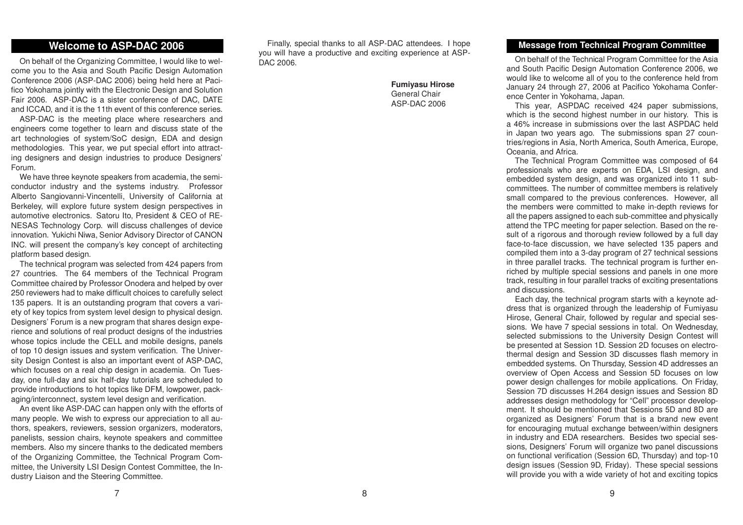# **Welcome to ASP-DAC 2006**

On behalf of the Organizing Committee, I would like to welcome you to the Asia and South Pacific Design Automation Conference 2006 (ASP-DAC 2006) being held here at Pacifico Yokohama jointly with the Electronic Design and Solution Fair 2006. ASP-DAC is <sup>a</sup> sister conference of DAC, DATE and ICCAD, and it is the 11th event of this conference series.

ASP-DAC is the meeting place where researchers and engineers come together to learn and discuss state of the art technologies of system/SoC design, EDA and design methodologies. This year, we put special effort into attracting designers and design industries to produce Designers' Forum.

We have three keynote speakers from academia, the semiconductor industry and the systems industry. Professor Alberto Sangiovanni-Vincentelli, University of California at Berkeley, will explore future system design perspectives in automotive electronics. Satoru Ito, President & CEO of RE-NESAS Technology Corp. will discuss challenges of device innovation. Yukichi Niwa, Senior Advisory Director of CANON INC. will present the company's key concept of architecting platform based design.

The technical program was selected from 424 papers from 27 countries. The 64 members of the Technical Program Committee chaired by Professor Onodera and helped by over 250 reviewers had to make difficult choices to carefully select 135 papers. It is an outstanding program that covers <sup>a</sup> variety of key topics from system level design to physical design. Designers' Forum is <sup>a</sup> new program that shares design experience and solutions of real product designs of the industries whose topics include the CELL and mobile designs, panels of top 10 design issues and system verification. The University Design Contest is also an important event of ASP-DAC, which focuses on <sup>a</sup> real chip design in academia. On Tuesday, one full-day and six half-day tutorials are scheduled to provide introductions to hot topics like DFM, lowpower, packaging/interconnect, system level design and verification.

An event like ASP-DAC can happen only with the efforts of many people. We wish to express our appreciation to all authors, speakers, reviewers, session organizers, moderators, panelists, session chairs, keynote speakers and committee members. Also my sincere thanks to the dedicated members of the Organizing Committee, the Technical Program Committee, the University LSI Design Contest Committee, the Industry Liaison and the Steering Committee.

Finally, special thanks to all ASP-DAC attendees. I hope you will have <sup>a</sup> productive and exciting experience at ASP-DAC 2006.

8

**Fumiyasu Hirose** General Chair ASP-DAC 2006

### **Message from Technical Program Committee**

On behalf of the Technical Program Committee for the Asia and South Pacific Design Automation Conference 2006, we would like to welcome all of you to the conference held from January 24 through 27, 2006 at Pacifico Yokohama Conference Center in Yokohama, Japan.

This year, ASPDAC received 424 paper submissions, which is the second highest number in our history. This is a 46% increase in submissions over the last ASPDAC held in Japan two years ago. The submissions span 27 countries/regions in Asia, North America, South America, Europe, Oceania, and Africa.

The Technical Program Committee was composed of 64 professionals who are experts on EDA, LSI design, and embedded system design, and was organized into 11 subcommittees. The number of committee members is relatively small compared to the previous conferences. However, all the members were committed to make in-depth reviews for all the papers assigned to each sub-committee and physically attend the TPC meeting for paper selection. Based on the result of <sup>a</sup> rigorous and thorough review followed by <sup>a</sup> full day face-to-face discussion, we have selected 135 papers and compiled them into <sup>a</sup> 3-day program of 27 technical sessions in three parallel tracks. The technical program is further enriched by multiple special sessions and panels in one more track, resulting in four parallel tracks of exciting presentations and discussions.

Each day, the technical program starts with <sup>a</sup> keynote address that is organized through the leadership of Fumiyasu Hirose, General Chair, followed by regular and special sessions. We have 7 special sessions in total. On Wednesday, selected submissions to the University Design Contest will be presented at Session 1D. Session 2D focuses on electrothermal design and Session 3D discusses flash memory in embedded systems. On Thursday, Session 4D addresses an overview of Open Access and Session 5D focuses on low power design challenges for mobile applications. On Friday, Session 7D discusses H.264 design issues and Session 8D addresses design methodology for "Cell" processor development. It should be mentioned that Sessions 5D and 8D are organized as Designers' Forum that is <sup>a</sup> brand new event for encouraging mutual exchange between/within designers in industry and EDA researchers. Besides two special sessions, Designers' Forum will organize two panel discussions on functional verification (Session 6D, Thursday) and top-10 design issues (Session 9D, Friday). These special sessions will provide you with <sup>a</sup> wide variety of hot and exciting topics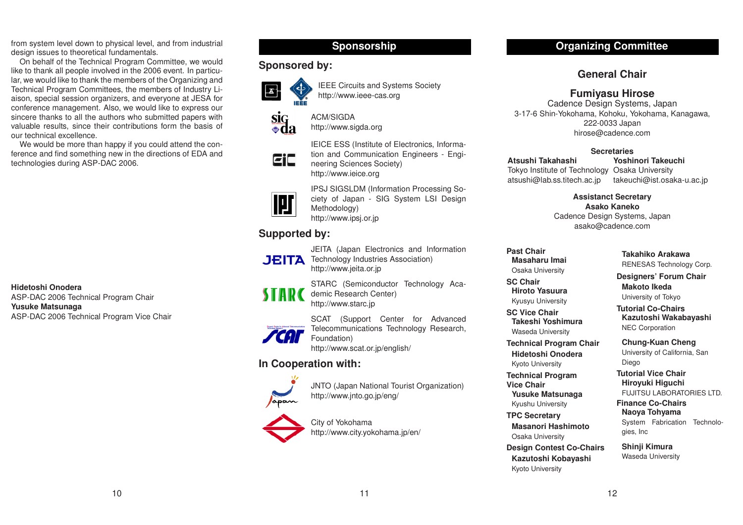from system level down to physical level, and from industrial design issues to theoretical fundamentals.

On behalf of the Technical Program Committee, we would like to thank all people involved in the 2006 event. In particular, we would like to thank the members of the Organizing and Technical Program Committees, the members of Industry Liaison, special session organizers, and everyone at JESA for conference management. Also, we would like to express our sincere thanks to all the authors who submitted papers with valuable results, since their contributions form the basis of our technical excellence.

We would be more than happy if you could attend the conference and find something new in the directions of EDA and technologies during ASP-DAC 2006.

**Hidetoshi Onodera**ASP-DAC 2006 Technical Program Chair **Yusuke Matsunaga** ASP-DAC 2006 Technical Program Vice Chair

# **Sponsorship**

# **Sponsored by:**



IEEE Circuits and Systems Society http://www.ieee-cas.org



ACM/SIGDAhttp://www.sigda.org

neering Sciences Society) http://www.ieice.org

http://www.jeita.or.jp

EiC



IPSJ SIGSLDM (Information Processing Society of Japan - SIG System LSI Design Methodology) http://www.ipsj.or.jp

IEICE ESS (Institute of Electronics, Information and Communication Engineers - Engi-

# **Supported** by:



**CAT** 

STARC (Semiconductor Technology Academic Research Center) http://www.starc.jp

JEITA (Japan Electronics and Information

SCAT (Support Center for Advanced Telecommunications Technology Research, Foundation) http://www.scat.or.jp/english/

# **In Cooperation with:**



JNTO (Japan National Tourist Organization) http://www.jnto.go.jp/eng/

City of Yokohama http://www.city.yokohama.jp/en/

# **Organizing Committee**

# **General Chair**

# **Fumiyasu Hirose**

Cadence Design Systems, Japan 3-17-6 Shin-Yokohama, Kohoku, Yokohama, Kanagawa, 222-0033 Japan hirose@cadence.com

# **Secretaries**

**Atsushi Takahashi**Tokyo Institute of Technology Osaka University atsushi@lab.ss.titech.ac.jp

**Yoshinori Takeuchi**

takeuchi@ist.osaka-u.ac.jp

**Assistanct Secretary Asako Kaneko**

Cadence Design Systems, Japan asako@cadence.com

**Past ChairMasaharu Imai**Osaka University

**SC ChairHiroto Yasuura** Kyusyu University

**SC Vice Chair Takeshi Yoshimura**Waseda University

**Technical Program Chair Hidetoshi Onodera**

Kyoto University

**Technical Program Vice Chair**

**Yusuke Matsunaga** Kyushu University

**TPC Secretary Masanori Hashimoto**Osaka University

**Design Contest Co-Chairs Kazutoshi Kobayashi** Kyoto University

# **Takahiko Arakawa**

RENESAS Technology Corp.

**Designers' Forum Chair Makoto Ikeda**

University of Tokyo

**Tutorial Co-ChairsKazutoshi Wakabayashi** NEC Corporation

**Chung-Kuan Cheng** University of California, San Diego

**Tutorial Vice Chair Hiroyuki Higuchi** FUJITSU LABORATORIES LTD.

**Finance Co-ChairsNaoya Tohyama** System Fabrication Technologies, Inc

**Shinji Kimura** Waseda University

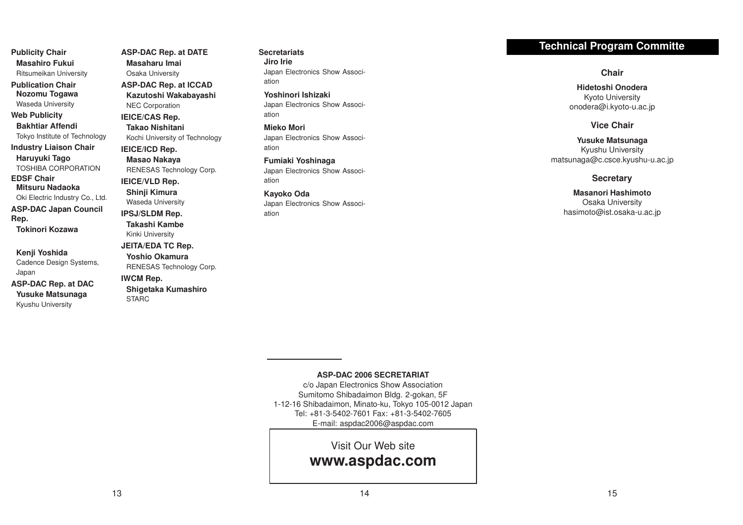**Publicity Chair Masahiro Fukui**Ritsumeikan University

**Publication ChairNozomu Togawa** Waseda University **Web Publicity**

**Bakhtiar Affendi**Tokyo Institute of Technology **Industry Liaison Chair Haruyuki Tago** TOSHIBA CORPORATION**EDSF ChairMitsuru Nadaoka**Oki Electric Industry Co., Ltd. **ASP-DAC Japan Council Rep. Tokinori Kozawa**

**Kenji Yoshida** Cadence Design Systems, Japan

**ASP-DAC Rep. at DAC Yusuke Matsunaga** Kyushu University

**ASP-DAC Rep. at DATE Masaharu Imai**Osaka University **ASP-DAC Rep. at ICCAD Kazutoshi Wakabayashi** NEC Corporation **IEICE/CAS Rep. Takao Nishitani**Kochi University of Technology **IEICE/ICD Rep. Masao Nakaya** RENESAS Technology Corp. **IEICE/VLD Rep. Shinji Kimura** Waseda University **IPSJ/SLDM Rep. Takashi Kambe**Kinki University **JEITA/EDA TC Rep. Yoshio Okamura**RENESAS Technology Corp. **IWCM** Rep. **Shigetaka Kumashiro** STARC

**SecretariatsJiro Irie**Japan Electronics Show Association

**Yoshinori Ishizaki**Japan Electronics Show Association

**Mieko Mori**Japan Electronics Show Association

**Fumiaki Yoshinaga** Japan Electronics Show Association

**Kayoko Oda** Japan Electronics Show Association

# **Technical Program Committe**

**Chair**

**Hidetoshi Onodera**Kyoto University onodera@i.kyoto-u.ac.jp

# **Vice Chair**

**Yusuke Matsunaga** Kyushu University matsunaga@c.csce.kyushu-u.ac.jp

### **Secretary**

**Masanori Hashimoto**Osaka University hasimoto@ist.osaka-u.ac.jp

### **ASP-DAC 2006 SECRETARIAT**

c/o Japan Electronics Show Association Sumitomo Shibadaimon Bldg. 2-gokan, 5F 1-12-16 Shibadaimon, Minato-ku, Tokyo 105-0012 Japan Tel: +81-3-5402-7601 Fax: +81-3-5402-7605 E-mail: aspdac2006@aspdac.com

Visit Our Web site

**www.aspdac.com**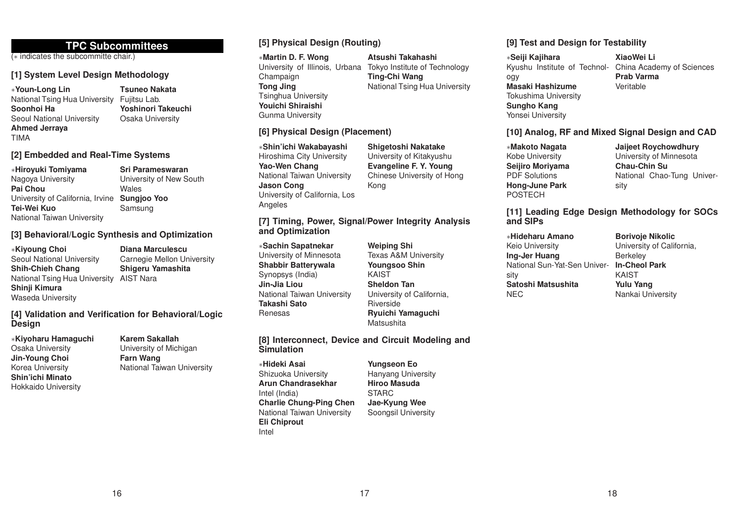# **TPC Subcommittees**

(<sup>∗</sup> indicates the subcommitte chair.)

# **[1] System Level Design Methodology**

<sup>∗</sup>**Youn-Long Lin** National Tsing Hua University Fujitsu Lab. **Soonhoi Ha**Seoul National University **Ahmed Jerraya** TIMA

**Tsuneo NakataYoshinori Takeuchi**Osaka University

# **[2] Embedded and Real-Time Systems**

<sup>∗</sup>**Hiroyuki Tomiyama** Nagoya University **Pai Chou**University of California, Irvine **Sungjoo Yoo Tei-Wei Kuo**National Taiwan University **Sri Parameswaran**

University of New South **Wales** Samsung

# **[3] Behavioral/Logic Synthesis and Optimization**

<sup>∗</sup>**Kiyoung Choi** Seoul National University **Shih-Chieh Chang** National Tsing Hua University AIST Nara **Shinji Kimura** Waseda University **Diana Marculescu**

Carnegie Mellon University **Shigeru Yamashita**

**[4] Validation and Verification for Behavioral/Logic Design**

<sup>∗</sup>**Kiyoharu Hamaguchi** Osaka University **Jin-Young Choi** Korea University **Shin'ichi Minato**Hokkaido University

**Karem Sakallah**University of Michigan

**Farn Wang** National Taiwan University

# **[5] Physical Design (Routing)**

**[6] Physical Design (Placement)**

<sup>∗</sup>**Martin D. F. Wong** Champaign **Tong Jing** Tsinghua University **Youichi Shiraishi**Gunma University

<sup>∗</sup>**Shin'ichi Wakabayashi** Hiroshima City University **Yao-Wen Chang**

National Taiwan University

University of California, Los

**and Optimization** <sup>∗</sup>**Sachin Sapatnekar** University of Minnesota **Shabbir Batterywala** Synopsys (India) **Jin-Jia Liou**

**Jason Cong**

**Angeles** 

### University of Illinois, Urbana Tokyo Institute of Technology **Atsushi TakahashiTing-Chi Wang** National Tsing Hua University

**Shigetoshi Nakatake** University of Kitakyushu **Evangeline F. Y. Young** Chinese University of Hong

Kong

**[7] Timing, Power, Signal/Power Integrity Analysis**

ogy **Masaki Hashizume**Tokushima University **Sungho Kang**

Yonsei University

<sup>∗</sup>**Seiji Kajihara**

**[9] Test and Design for Testability**

Kyushu Institute of Technol-China Academy of Sciences **XiaoWei LiPrab Varma**Veritable

# **[10] Analog, RF and Mixed Signal Design and CAD**

<sup>∗</sup>**Makoto Nagata** Kobe University **Seijiro Moriyama** PDF Solutions**Hong-June Park** POSTECH

**Jaijeet Roychowdhury** University of Minnesota **Chau-Chin Su**National Chao-Tung University

# **[11] Leading Edge Design Methodology for SOCs and SIPs**

<sup>∗</sup>**Hideharu Amano**Keio University **Ing-Jer Huang** National Sun-Yat-Sen University **Satoshi Matsushita**NEC

**Borivoje Nikolic** University of California, Berkeley **In-Cheol Park** KAIST**Yulu Yang** Nankai University

**Weiping Shi** Texas A&M University **Youngsoo Shin** KAIST**Sheldon Tan** University of California, Riverside**Ryuichi Yamaguchi Matsushita** 

# **[8] Interconnect, Device and Circuit Modeling and Simulation**

<sup>∗</sup>**Hideki Asai**Shizuoka University **Arun Chandrasekhar** Intel (India) **Charlie Chung-Ping Chen** National Taiwan University **Eli Chiprout** Intel

National Taiwan University

**Takashi Sato**Renesas

> **Yungseon Eo** Hanyang University **Hiroo Masuda** STARC**Jae-Kyung Wee** Soongsil University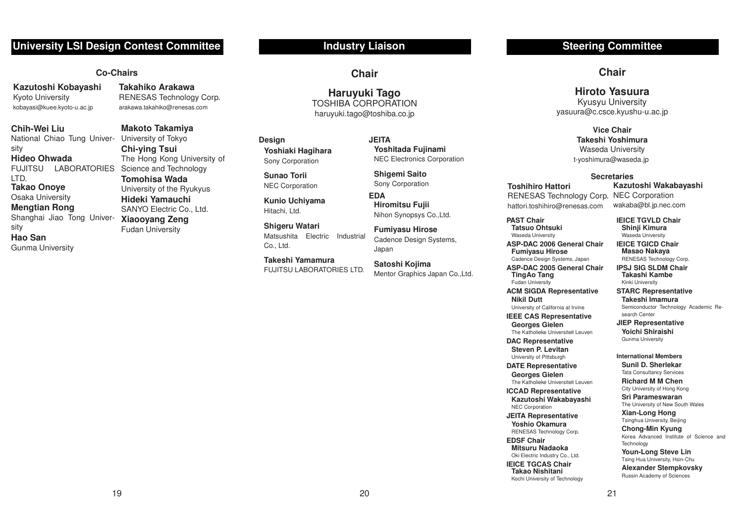# **University LSI Design Contest Committee**

# **Co-Chairs**

**Kazutoshi Kobayashi** Kyoto University kobayasi@kuee.kyoto-u.ac.jp

**Chih-Wei Liu**

National Chiao Tung Univer-University of Tokyo sity

# **Hideo Ohwada**

LTD.**Takao Onoye** Osaka University

# **Mengtian Rong**

Shanghai Jiao Tong University **Hao San**Gunma University

**Takahiko Arakawa**RENESAS Technology Corp. arakawa.takahiko@renesas.com

FUJITSU LABORATORIES Science and Technology **Makoto Takamiya Chi-ying Tsui** The Hong Kong University of **Tomohisa Wada**University of the Ryukyus **Hideki Yamauchi** SANYO Electric Co., Ltd. **Xiaooyang Zeng** Fudan University

# **Industry Liaison**

**Chair**

**Haruyuki Tago** TOSHIBA CORPORATIONharuyuki.tago@toshiba.co.jp

20

**Design Yoshiaki Hagihara** Sony Corporation

**Sunao Torii**NEC Corporation

**Kunio Uchiyama** Hitachi, Ltd.

**Shigeru Watari** Matsushita Electric Industrial Co., Ltd.

**Takeshi Yamamura**FUJITSU LABORATORIES LTD.

**JEITAYoshitada Fujinami** NEC Electronics Corporation

**Shigemi Saito** Sony Corporation

**EDAHiromitsu Fujii** Nihon Synopsys Co.,Ltd.

**Fumiyasu Hirose** Cadence Design Systems, Japan

**Satoshi Kojima** Mentor Graphics Japan Co.,Ltd.

# **Steering Committee**

**Chair**

# **Hiroto Yasuura**

Kyusyu University yasuura@c.csce.kyushu-u.ac.jp

### **Vice ChairTakeshi Yoshimura**Waseda University t-yoshimura@waseda.jp

### **Secretaries**

**Toshihiro Hattori**

**PAST ChairTatsuo Ohtsuki** Waseda University

**TingAo Tang** Fudan University

**Nikil Dutt**

NEC Corporation **JEITA Representative Yoshio Okamura**RENESAS Technology Corp.

**EDSF ChairMitsuru Nadaoka**Oki Electric Industry Co., Ltd. **IEICE TGCAS ChairTakao Nishitani** Kochi University of Technology

RENESAS Technology Corp. hattori.toshihiro@renesas.com

**ASP-DAC 2006 General ChairFumiyasu Hirose** Cadence Design Systems, Japan **ASP-DAC 2005 General Chair**

**ACM SIGDA Representative**

University of California at Irvine **IEEE CAS Representative Georges Gielen** The Katholieke Universiteit Leuven **DAC Representative Steven P. Levitan** University of Pittsburgh **DATE Representative Georges Gielen** The Katholieke Universiteit Leuven**ICCAD Representative Kazutoshi Wakabayashi**

**Kazutoshi Wakabayashi** NEC Corporation

wakaba@bl.jp.nec.com

### **IEICE TGVLD Chair Shinji Kimura** Waseda University

**IEICE TGICD ChairMasao Nakaya** RENESAS Technology Corp.

**IPSJ SIG SLDM ChairTakashi Kambe**Kinki University

**STARC Representative Takeshi Imamura**

Semiconductor Technology Academic Research Center

**JIEP Representative Yoichi Shiraishi** Gunma University

### **International Members**

**Sunil D. Sherlekar**Tata Consultancy Services **Richard M M Chen**

City University of Hong Kong **Sri Parameswaran**

The University of New South Wales

**Xian-Long Hong** Tsinghua University, Beijing

**Chong-Min Kyung** Korea Advanced Institute of Science and**Technology** 

**Youn-Long Steve Lin** Tsing Hua University, Hsin-Chu

**Alexander Stempkovsky** Russin Academy of Sciences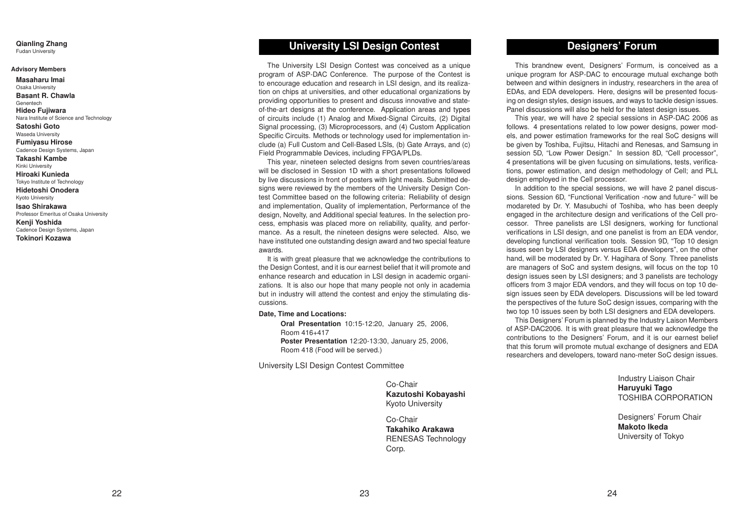# **Qianling Zhang**

Fudan University

### **Advisory Members**

**Masaharu Imai**Osaka University **Basant R. Chawla**Genentech**Hideo Fujiwara** Nara Institute of Science and Technology **Satoshi Goto** Waseda University **Fumiyasu Hirose** Cadence Design Systems, Japan **Takashi Kambe**Kinki University **Hiroaki Kunieda**Tokyo Institute of Technology **Hidetoshi Onodera**Kyoto University **Isao Shirakawa**Professor Emeritus of Osaka University **Kenji Yoshida** Cadence Design Systems, Japan **Tokinori Kozawa**

# **University LSI Design Contest**

The University LSI Design Contest was conceived as <sup>a</sup> unique program of ASP-DAC Conference. The purpose of the Contest is to encourage education and research in LSI design, and its realization on chips at universities, and other educational organizations by providing opportunities to present and discuss innovative and stateof-the-art designs at the conference. Application areas and types of circuits include (1) Analog and Mixed-Signal Circuits, (2) Digital Signal processing, (3) Microprocessors, and (4) Custom Application Specific Circuits. Methods or technology used for implementation include (a) Full Custom and Cell-Based LSIs, (b) Gate Arrays, and (c) Field Programmable Devices, including FPGA/PLDs.

This year, nineteen selected designs from seven countries/areas will be disclosed in Session 1D with a short presentations followed by live discussions in front of posters with light meals. Submitted designs were reviewed by the members of the University Design Contest Committee based on the following criteria: Reliability of design and implementation, Quality of implementation, Performance of the design, Novelty, and Additional special features. In the selection process, emphasis was placed more on reliability, quality, and performance. As a result, the nineteen designs were selected. Also, we have instituted one outstanding design award and two special feature awards.

It is with great pleasure that we acknowledge the contributions to the Design Contest, and it is our earnest belief that it will promote and enhance research and education in LSI design in academic organizations. It is also our hope that many people not only in academia but in industry will attend the contest and enjoy the stimulating discussions.

### **Date, Time and Locations:**

**Oral Presentation** 10:15-12:20, January 25, 2006, Room 416+417**Poster Presentation** 12:20-13:30, January 25, 2006, Room 418 (Food will be served.)

University LSI Design Contest Committee

Co-Chair **Kazutoshi Kobayashi** Kyoto University

Co-Chair **Takahiko Arakawa** RENESAS Technology Corp.

# **Designers' Forum**

This brandnew event, Designers' Formum, is conceived as <sup>a</sup> unique program for ASP-DAC to encourage mutual exchange both between and within designers in industry, researchers in the area of EDAs, and EDA developers. Here, designs will be presented focusing on design styles, design issues, and ways to tackle design issues. Panel discussions will also be held for the latest design issues.

This year, we will have 2 special sessions in ASP-DAC 2006 as follows. 4 presentations related to low power designs, power models, and power estimation frameworks for the real SoC designs will be given by Toshiba, Fujitsu, Hitachi and Renesas, and Samsung in session 5D, "Low Power Design." In session 8D, "Cell processor", 4 presentations will be given fucusing on simulations, tests, verifications, power estimation, and design methodology of Cell; and PLL design employed in the Cell processor.

In addition to the special sessions, we will have 2 panel discussions. Session 6D, "Functional Verification -now and future-" will be modareted by Dr. Y. Masubuchi of Toshiba, who has been deeply engaged in the architecture design and verifications of the Cell processor. Three panelists are LSI designers, working for functional verifications in LSI design, and one panelist is from an EDA vendor, developing functional verification tools. Session 9D, "Top 10 design issues seen by LSI designers versus EDA developers", on the other hand, will be moderated by Dr. Y. Hagihara of Sony. Three panelists are managers of SoC and system designs, will focus on the top 10 design issues seen by LSI designers; and 3 panelists are techology officers from 3 major EDA vendors, and they will focus on top 10 design issues seen by EDA developers. Discussions will be led toward the perspectives of the future SoC design issues, comparing with the two top 10 issues seen by both LSI designers and EDA developers.

This Designers' Forum is planned by the Industry Laison Members of ASP-DAC2006. It is with great pleasure that we acknowledge the contributions to the Designers' Forum, and it is our earnest belief that this forum will promote mutual exchange of designers and EDA researchers and developers, toward nano-meter SoC design issues.

> Industry Liaison Chair **Haruyuki Tago** TOSHIBA CORPORATION

Designers' Forum Chair **Makoto Ikeda**University of Tokyo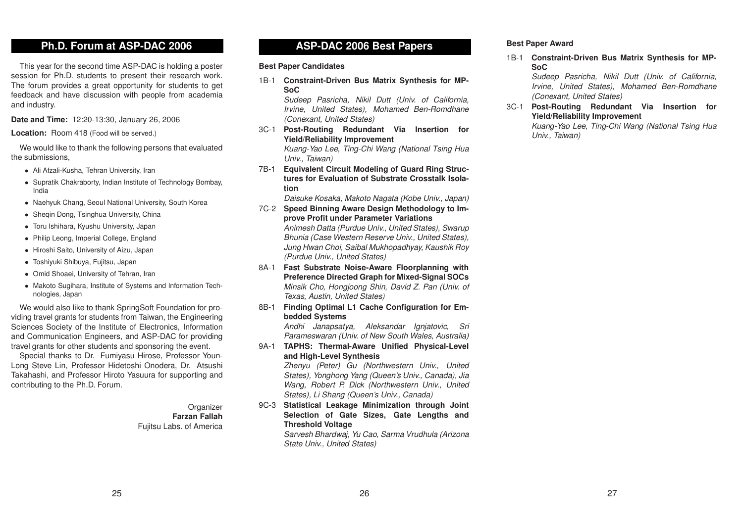# **Ph.D. Forum at ASP-DAC 2006**

This year for the second time ASP-DAC is holding <sup>a</sup> poster session for Ph.D. students to present their research work. The forum provides a great opportunity for students to get feedback and have discussion with people from academia and industry.

**Date and Time:** 12:20-13:30, January 26, 2006

**Location:** Room 418 (Food will be served.)

We would like to thank the following persons that evaluated the submissions,

- *•* Ali Afzali-Kusha, Tehran University, Iran
- *•* Supratik Chakraborty, Indian Institute of Technology Bombay, India
- *•* Naehyuk Chang, Seoul National University, South Korea
- *•* Sheqin Dong, Tsinghua University, China
- *•* Toru Ishihara, Kyushu University, Japan
- *•* Philip Leong, Imperial College, England
- *•* Hiroshi Saito, University of Aizu, Japan
- *•* Toshiyuki Shibuya, Fujitsu, Japan
- *•* Omid Shoaei, University of Tehran, Iran
- *•* Makoto Sugihara, Institute of Systems and Information Technologies, Japan

We would also like to thank SpringSoft Foundation for providing travel grants for students from Taiwan, the Engineering Sciences Society of the Institute of Electronics, Information and Communication Engineers, and ASP-DAC for providing travel grants for other students and sponsoring the event.

Special thanks to Dr. Fumiyasu Hirose, Professor Youn-Long Steve Lin, Professor Hidetoshi Onodera, Dr. Atsushi Takahashi, and Professor Hiroto Yasuura for supporting and contributing to the Ph.D. Forum.

> **Organizer Farzan Fallah** Fujitsu Labs. of America

# **ASP-DAC 2006 Best Papers**

### **Best Paper Candidates**

1B-1 **Constraint-Driven Bus Matrix Synthesis for MP-SoC**

*Sudeep Pasricha, Nikil Dutt (Univ. of California, Irvine, United States), Mohamed Ben-Romdhane (Conexant, United States)*

3C-1 **Post-Routing Redundant Via Insertion for Yield/Reliability Improvement**

*Kuang-Yao Lee, Ting-Chi Wang (National Tsing Hua Univ., Taiwan)*

7B-1 **Equivalent Circuit Modeling of Guard Ring Structures for Evaluation of Substrate Crosstalk Isolation**

*Daisuke Kosaka, Makoto Nagata (Kobe Univ., Japan)*

- 7C-2 **Speed Binning Aware Design Methodology to Improve Profit under Parameter Variations** *Animesh Datta (Purdue Univ., United States), Swarup Bhunia (Case Western Reserve Univ., United States), Jung Hwan Choi, Saibal Mukhopadhyay, Kaushik Roy (Purdue Univ., United States)*
- 8A-1 **Fast Substrate Noise-Aware Floorplanning with Preference Directed Graph for Mixed-Signal SOCs** *Minsik Cho, Hongjoong Shin, David Z. Pan (Univ. of Texas, Austin, United States)*
- 8B-1 **Finding Optimal L1 Cache Configuration for Embedded Systems**

*Andhi Janapsatya, Aleksandar Ignjatovic, Sri Parameswaran (Univ. of New South Wales, Australia)*

9A-1 **TAPHS: Thermal-Aware Unified Physical-Level and High-Level Synthesis**

> *Zhenyu (Peter) Gu (Northwestern Univ., United States), Yonghong Yang (Queen's Univ., Canada), Jia Wang, Robert P. Dick (Northwestern Univ., United States), Li Shang (Queen's Univ., Canada)*

9C-3 **Statistical Leakage Minimization through Joint Selection of Gate Sizes, Gate Lengths and Threshold Voltage**

*Sarvesh Bhardwaj, Yu Cao, Sarma Vrudhula (Arizona State Univ., United States)*

### **Best Paper Award**

1B-1 **Constraint-Driven Bus Matrix Synthesis for MP-SoC**

*Sudeep Pasricha, Nikil Dutt (Univ. of California, Irvine, United States), Mohamed Ben-Romdhane (Conexant, United States)*

3C-1 **Post-Routing Redundant Via Insertion for Yield/Reliability Improvement**

*Kuang-Yao Lee, Ting-Chi Wang (National Tsing Hua Univ., Taiwan)*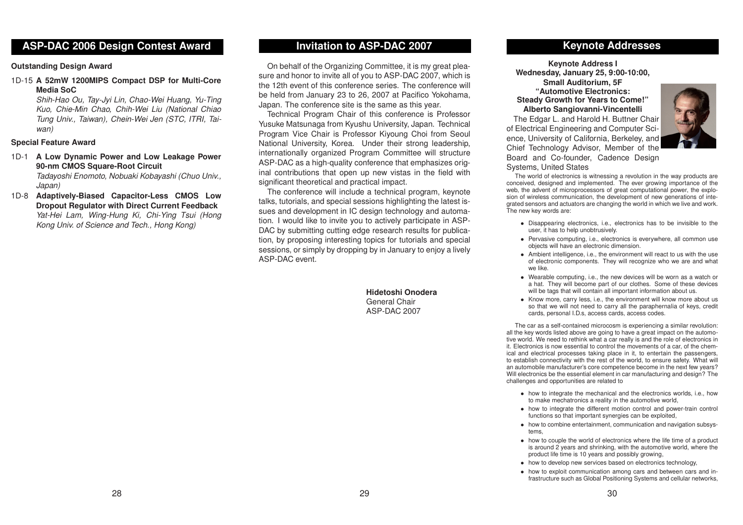# **ASP-DAC 2006 Design Contest Award**

### **Outstanding Design Award**

1D-15 **A 52mW 1200MIPS Compact DSP for Multi-Core Media SoC**

> *Shih-Hao Ou, Tay-Jyi Lin, Chao-Wei Huang, Yu-Ting Kuo, Chie-Min Chao, Chih-Wei Liu (National Chiao Tung Univ., Taiwan), Chein-Wei Jen (STC, ITRI, Taiwan)*

### **Special Feature Award**

- 1D-1 **A Low Dynamic Power and Low Leakage Power 90-nm CMOS Square-Root Circuit** *Tadayoshi Enomoto, Nobuaki Kobayashi (Chuo Univ., Japan)*
- 1D-8 **Adaptively-Biased Capacitor-Less CMOS Low Dropout Regulator with Direct Current Feedback** *Yat-Hei Lam, Wing-Hung Ki, Chi-Ying Tsui (Hong Kong Univ. of Science and Tech., Hong Kong)*

# **Invitation to ASP-DAC 2007**

On behalf of the Organizing Committee, it is my great pleasure and honor to invite all of you to ASP-DAC 2007, which is the 12th event of this conference series. The conference will be held from January 23 to 26, 2007 at Pacifico Yokohama, Japan. The conference site is the same as this year.

Technical Program Chair of this conference is Professor Yusuke Matsunaga from Kyushu University, Japan. Technical Program Vice Chair is Professor Kiyoung Choi from Seoul National University, Korea. Under their strong leadership, internationally organized Program Committee will structure ASP-DAC as <sup>a</sup> high-quality conference that emphasizes original contributions that open up new vistas in the field with significant theoretical and practical impact.

The conference will include <sup>a</sup> technical program, keynote talks, tutorials, and special sessions highlighting the latest issues and development in IC design technology and automation. I would like to invite you to actively participate in ASP-DAC by submitting cutting edge research results for publication, by proposing interesting topics for tutorials and special sessions, or simply by dropping by in January to enjoy <sup>a</sup> lively ASP-DAC event.

> **Hidetoshi Onodera**General Chair ASP-DAC 2007

# **Keynote Addresses**

**Keynote Address I Wednesday, January 25, 9:00-10:00, Small Auditorium, 5F**

**"Automotive Electronics: Steady Growth for Years to Come!" Alberto Sangiovanni-Vincentelli**

The Edgar L. and Harold H. Buttner Chair of Electrical Engineering and Computer Science, University of California, Berkeley, and Chief Technology Advisor, Member of the Board and Co-founder, Cadence Design Systems, United States



The world of electronics is witnessing <sup>a</sup> revolution in the way products are conceived, designed and implemented. The ever growing importance of the web, the advent of microprocessors of great computational power, the explosion of wireless communication, the development of new generations of integrated sensors and actuators are changing the world in which we live and work. The new key words are:

- *•* Disappearing electronics, i.e., electronics has to be invisible to the user, it has to help unobtrusively.
- *•* Pervasive computing, i.e., electronics is everywhere, all common use objects will have an electronic dimension.
- *•* Ambient intelligence, i.e., the environment will react to us with the use of electronic components. They will recognize who we are and what we like.
- *•* Wearable computing, i.e., the new devices will be worn as <sup>a</sup> watch or <sup>a</sup> hat. They will become part of our clothes. Some of these devices will be tags that will contain all important information about us.
- *•* Know more, carry less, i.e., the environment will know more about us so that we will not need to carry all the paraphernalia of keys, credit cards, personal I.D.s, access cards, access codes.

The car as <sup>a</sup> self-contained microcosm is experiencing <sup>a</sup> similar revolution: all the key words listed above are going to have <sup>a</sup> great impact on the automotive world. We need to rethink what <sup>a</sup> car really is and the role of electronics in it. Electronics is now essential to control the movements of <sup>a</sup> car, of the chemical and electrical processes taking place in it, to entertain the passengers, to establish connectivity with the rest of the world, to ensure safety. What will an automobile manufacturer's core competence become in the next few years? Will electronics be the essential element in car manufacturing and design? The challenges and opportunities are related to

- *•* how to integrate the mechanical and the electronics worlds, i.e., how to make mechatronics <sup>a</sup> reality in the automotive world,
- *•* how to integrate the different motion control and power-train control functions so that important synergies can be exploited,
- how to combine entertainment, communication and navigation subsystems,
- how to couple the world of electronics where the life time of a product is around 2 years and shrinking, with the automotive world, where the product life time is 10 years and possibly growing,
- *•* how to develop new services based on electronics technology,
- *•* how to exploit communication among cars and between cars and infrastructure such as Global Positioning Systems and cellular networks,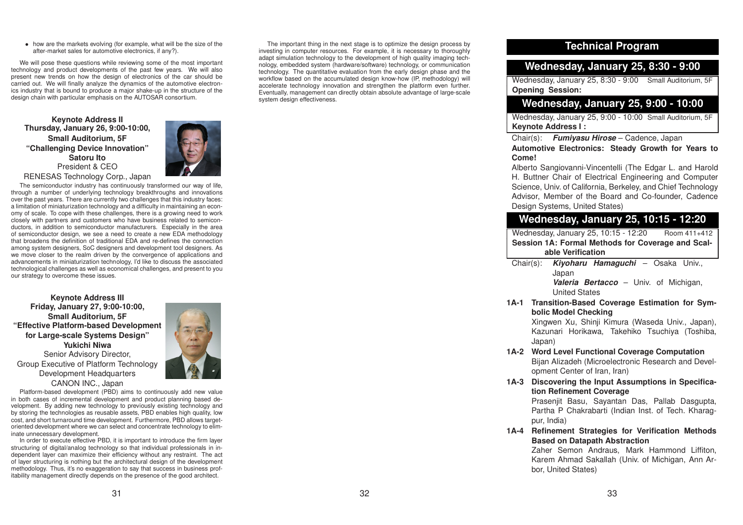*•* how are the markets evolving (for example, what will be the size of the after-market sales for automotive electronics, if any?).

We will pose these questions while reviewing some of the most important technology and product developments of the past few years. We will also present new trends on how the design of electronics of the car should be carried out. We will finally analyze the dynamics of the automotive electronics industry that is bound to produce <sup>a</sup> major shake-up in the structure of the design chain with particular emphasis on the AUTOSAR consortium.

**Keynote Address II Thursday, January 26, 9:00-10:00, Small Auditorium, 5F "Challenging Device Innovation" Satoru Ito**President & CEORENESAS Technology Corp., Japan



The semiconductor industry has continuously transformed our way of life, through <sup>a</sup> number of underlying technology breakthroughs and innovations over the past years. There are currently two challenges that this industry faces: <sup>a</sup> limitation of miniaturization technology and <sup>a</sup> difficulty in maintaining an economy of scale. To cope with these challenges, there is <sup>a</sup> growing need to work closely with partners and customers who have business related to semiconductors, in addition to semiconductor manufacturers. Especially in the area of semiconductor design, we see <sup>a</sup> need to create <sup>a</sup> new EDA methodology that broadens the definition of traditional EDA and re-defines the connection among system designers, SoC designers and development tool designers. As we move closer to the realm driven by the convergence of applications and advancements in miniaturization technology, I'd like to discuss the associated technological challenges as well as economical challenges, and present to you our strategy to overcome these issues.

**Keynote Address III Friday, January 27, 9:00-10:00, Small Auditorium, 5F "Effective Platform-based Development for Large-scale Systems Design" Yukichi Niwa** Senior Advisory Director, Group Executive of Platform Technology Development Headquarters CANON INC., Japan



Platform-based development (PBD) aims to continuously add new value in both cases of incremental development and product planning based development. By adding new technology to previously existing technology and by storing the technologies as reusable assets, PBD enables high quality, low cost, and short turnaround time development. Furthermore, PBD allows targetoriented development where we can select and concentrate technology to eliminate unnecessary development.

In order to execute effective PBD, it is important to introduce the firm layer structuring of digital/analog technology so that individual professionals in independent layer can maximize their efficiency without any restraint. The act of layer structuring is nothing but the architectural design of the development methodology. Thus, it's no exaggeration to say that success in business profitability management directly depends on the presence of the good architect.

The important thing in the next stage is to optimize the design process by investing in computer resources. For example, it is necessary to thoroughly adapt simulation technology to the development of high quality imaging technology, embedded system (hardware/software) technology, or communication technology. The quantitative evaluation from the early design phase and the workflow based on the accumulated design know-how (IP, methodology) will accelerate technology innovation and strengthen the platform even further. Eventually, management can directly obtain absolute advantage of large-scale system design effectiveness.

# **Technical Program**

# **Wednesday, January 25, 8:30 - 9:00**

Wednesday, January 25, 8:30 - 9:00 Small Auditorium, 5F **Opening Session:**

# **Wednesday, January 25, 9:00 - 10:00**

Wednesday, January 25, 9:00 - 10:00 Small Auditorium, 5F **Keynote Address I :**

Chair(s): *Fumiyasu Hirose* – Cadence, Japan

**Automotive Electronics: Steady Growth for Years to Come!**

Alberto Sangiovanni-Vincentelli (The Edgar L. and Harold H. Buttner Chair of Electrical Engineering and Computer Science, Univ. of California, Berkeley, and Chief Technology Advisor, Member of the Board and Co-founder, Cadence Design Systems, United States)

# **Wednesday, January 25, 10:15 - 12:20**

Wednesday, January 25, 10:15 - 12:20 Room 411+412 **Session 1A: Formal Methods for Coverage and Scalable Verification**

Chair(s): *Kiyoharu Hamaguchi* – Osaka Univ., Japan *Valeria Bertacco* – Univ. of Michigan,

United States

**1A-1 Transition-Based Coverage Estimation for Symbolic Model Checking**

> Xingwen Xu, Shinji Kimura (Waseda Univ., Japan), Kazunari Horikawa, Takehiko Tsuchiya (Toshiba, Japan)

- **1A-2 Word Level Functional Coverage Computation** Bijan Alizadeh (Microelectronic Research and Development Center of Iran, Iran)
- **1A-3 Discovering the Input Assumptions in Specification Refinement Coverage**

Prasenjit Basu, Sayantan Das, Pallab Dasgupta, Partha P Chakrabarti (Indian Inst. of Tech. Kharagpur, India)

**1A-4 Refinement Strategies for Verification Methods Based on Datapath Abstraction**

> Zaher Semon Andraus, Mark Hammond Liffiton, Karem Ahmad Sakallah (Univ. of Michigan, Ann Arbor, United States)

32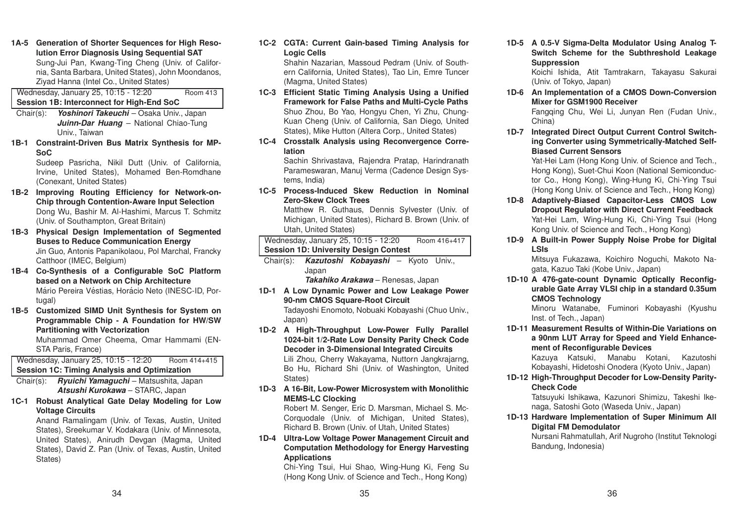**1A-5 Generation of Shorter Sequences for High Resolution Error Diagnosis Using Sequential SAT** Sung-Jui Pan, Kwang-Ting Cheng (Univ. of California, Santa Barbara, United States), John Moondanos, Ziyad Hanna (Intel Co., United States)

Wednesday, January 25, 10:15 - 12:20 Room 413 **Session 1B: Interconnect for High-End SoC**

- Chair(s): *Yoshinori Takeuchi* Osaka Univ., Japan *Juinn-Dar Huang* – National Chiao-Tung Univ., Taiwan
- **1B-1 Constraint-Driven Bus Matrix Synthesis for MP-SoC**

Sudeep Pasricha, Nikil Dutt (Univ. of California, Irvine, United States), Mohamed Ben-Romdhane (Conexant, United States)

- **1B-2 Improving Routing Efficiency for Network-on-Chip through Contention-Aware Input Selection** Dong Wu, Bashir M. Al-Hashimi, Marcus T. Schmitz (Univ. of Southampton, Great Britain)
- **1B-3 Physical Design Implementation of Segmented Buses to Reduce Communication Energy** Jin Guo, Antonis Papanikolaou, Pol Marchal, Francky Catthoor (IMEC, Belgium)
- **1B-4 Co-Synthesis of <sup>a</sup> Configurable SoC Platform based on <sup>a</sup> Network on Chip Architecture** Mário Pereira Véstias, Horácio Neto (INESC-ID, Portugal)
- **1B-5 Customized SIMD Unit Synthesis for System on Programmable Chip - A Foundation for HW/SW Partitioning with Vectorization** Muhammad Omer Cheema, Omar Hammami (EN-

STA Paris, France)

# Wednesday, January 25, 10:15 - 12:20 Room 414+415 **Session 1C: Timing Analysis and Optimization**

Chair(s): *Ryuichi Yamaguchi* – Matsushita, Japan *Atsushi Kurokawa* – STARC, Japan

**1C-1 Robust Analytical Gate Delay Modeling for Low Voltage Circuits**

Anand Ramalingam (Univ. of Texas, Austin, United States), Sreekumar V. Kodakara (Univ. of Minnesota, United States), Anirudh Devgan (Magma, United States), David Z. Pan (Univ. of Texas, Austin, United States)

**1C-2 CGTA: Current Gain-based Timing Analysis for Logic Cells**

Shahin Nazarian, Massoud Pedram (Univ. of Southern California, United States), Tao Lin, Emre Tuncer (Magma, United States)

- **1C-3 Efficient Static Timing Analysis Using <sup>a</sup> Unified Framework for False Paths and Multi-Cycle Paths** Shuo Zhou, Bo Yao, Hongyu Chen, Yi Zhu, Chung-Kuan Cheng (Univ. of California, San Diego, United States), Mike Hutton (Altera Corp., United States)
- **1C-4 Crosstalk Analysis using Reconvergence Correlation**

Sachin Shrivastava, Rajendra Pratap, Harindranath Parameswaran, Manuj Verma (Cadence Design Systems, India)

**1C-5 Process-Induced Skew Reduction in Nominal Zero-Skew Clock Trees**

Matthew R. Guthaus, Dennis Sylvester (Univ. of Michigan, United States), Richard B. Brown (Univ. of Utah, United States)

Wednesday, January 25, 10:15 - 12:20 Room 416+417 **Session 1D: University Design Contest**

Chair(s): *Kazutoshi Kobayashi* – Kyoto Univ., Japan

*Takahiko Arakawa* – Renesas, Japan

- **1D-1 A Low Dynamic Power and Low Leakage Power 90-nm CMOS Square-Root Circuit** Tadayoshi Enomoto, Nobuaki Kobayashi (Chuo Univ., Japan)
- **1D-2 A High-Throughput Low-Power Fully Parallel 1024-bit 1/2-Rate Low Density Parity Check Code Decoder in 3-Dimensional Integrated Circuits** Lili Zhou, Cherry Wakayama, Nuttorn Jangkrajarng, Bo Hu, Richard Shi (Univ. of Washington, United

States)

**1D-3 A 16-Bit, Low-Power Microsystem with Monolithic MEMS-LC Clocking**

Robert M. Senger, Eric D. Marsman, Michael S. Mc-Corquodale (Univ. of Michigan, United States), Richard B. Brown (Univ. of Utah, United States)

# **1D-4 Ultra-Low Voltage Power Management Circuit and Computation Methodology for Energy Harvesting Applications**

Chi-Ying Tsui, Hui Shao, Wing-Hung Ki, Feng Su (Hong Kong Univ. of Science and Tech., Hong Kong)

**1D-5 A 0.5-V Sigma-Delta Modulator Using Analog T-Switch Scheme for the Subthreshold Leakage Suppression**

Koichi Ishida, Atit Tamtrakarn, Takayasu Sakurai (Univ. of Tokyo, Japan)

**1D-6 An Implementation of <sup>a</sup> CMOS Down-Conversion Mixer for GSM1900 Receiver**

Fangqing Chu, Wei Li, Junyan Ren (Fudan Univ., China)

**1D-7 Integrated Direct Output Current Control Switching Converter using Symmetrically-Matched Self-Biased Current Sensors**

Yat-Hei Lam (Hong Kong Univ. of Science and Tech., Hong Kong), Suet-Chui Koon (National Semiconductor Co., Hong Kong), Wing-Hung Ki, Chi-Ying Tsui (Hong Kong Univ. of Science and Tech., Hong Kong)

- **1D-8 Adaptively-Biased Capacitor-Less CMOS Low Dropout Regulator with Direct Current Feedback** Yat-Hei Lam, Wing-Hung Ki, Chi-Ying Tsui (Hong Kong Univ. of Science and Tech., Hong Kong)
- **1D-9 A Built-in Power Supply Noise Probe for Digital LSIs**

Mitsuya Fukazawa, Koichiro Noguchi, Makoto Nagata, Kazuo Taki (Kobe Univ., Japan)

**1D-10 A 476-gate-count Dynamic Optically Reconfigurable Gate Array VLSI chip in <sup>a</sup> standard 0.35um CMOS Technology**

Minoru Watanabe, Fuminori Kobayashi (Kyushu Inst. of Tech., Japan)

**1D-11 Measurement Results of Within-Die Variations on<sup>a</sup> 90nm LUT Array for Speed and Yield Enhancement of Reconfigurable Devices**

Kazuya Katsuki, Manabu Kotani, Kazutoshi Kobayashi, Hidetoshi Onodera (Kyoto Univ., Japan)

**1D-12 High-Throughput Decoder for Low-Density Parity-Check Code**

Tatsuyuki Ishikawa, Kazunori Shimizu, Takeshi Ikenaga, Satoshi Goto (Waseda Univ., Japan)

**1D-13 Hardware Implementation of Super Minimum All Digital FM Demodulator**

Nursani Rahmatullah, Arif Nugroho (Institut Teknologi Bandung, Indonesia)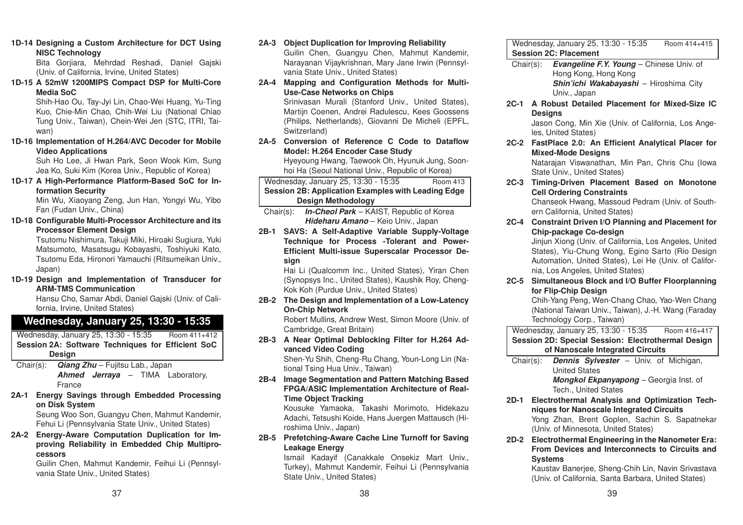### **1D-14 Designing <sup>a</sup> Custom Architecture for DCT Using NISC Technology**

Bita Gorjiara, Mehrdad Reshadi, Daniel Gajski (Univ. of California, Irvine, United States)

**1D-15 A 52mW 1200MIPS Compact DSP for Multi-Core Media SoC**

> Shih-Hao Ou, Tay-Jyi Lin, Chao-Wei Huang, Yu-Ting Kuo, Chie-Min Chao, Chih-Wei Liu (National Chiao Tung Univ., Taiwan), Chein-Wei Jen (STC, ITRI, Taiwan)

**1D-16 Implementation of H.264/AVC Decoder for Mobile Video Applications**

> Suh Ho Lee, Ji Hwan Park, Seon Wook Kim, Sung Jea Ko, Suki Kim (Korea Univ., Republic of Korea)

**1D-17 A High-Performance Platform-Based SoC for Information Security**

> Min Wu, Xiaoyang Zeng, Jun Han, Yongyi Wu, Yibo Fan (Fudan Univ., China)

**1D-18 Configurable Multi-Processor Architecture and its Processor Element Design**

Tsutomu Nishimura, Takuji Miki, Hiroaki Sugiura, Yuki Matsumoto, Masatsugu Kobayashi, Toshiyuki Kato, Tsutomu Eda, Hironori Yamauchi (Ritsumeikan Univ., Japan)

**1D-19 Design and Implementation of Transducer for ARM-TMS Communication**

Hansu Cho, Samar Abdi, Daniel Gajski (Univ. of California, Irvine, United States)

# **Wednesday, January 25, 13:30 - 15:35**

Wednesday, January 25, 13:30 - 15:35 Room 411+412 **Session 2A: Software Techniques for Efficient SoC Design**

- Chair(s): *Qiang Zhu* Fujitsu Lab., Japan *Ahmed Jerraya* – TIMA Laboratory, France
- **2A-1 Energy Savings through Embedded Processing on Disk System**

Seung Woo Son, Guangyu Chen, Mahmut Kandemir, Fehui Li (Pennsylvania State Univ., United States)

**2A-2 Energy-Aware Computation Duplication for Improving Reliability in Embedded Chip Multiprocessors**

Guilin Chen, Mahmut Kandemir, Feihui Li (Pennsylvania State Univ., United States)

# **2A-3 Object Duplication for Improving Reliability**

Guilin Chen, Guangyu Chen, Mahmut Kandemir, Narayanan Vijaykrishnan, Mary Jane Irwin (Pennsylvania State Univ., United States)

**2A-4 Mapping and Configuration Methods for Multi-Use-Case Networks on Chips**

> Srinivasan Murali (Stanford Univ., United States), Martijn Coenen, Andrei Radulescu, Kees Goossens (Philips, Netherlands), Giovanni De Micheli (EPFL, Switzerland)

**2A-5 Conversion of Reference C Code to DataflowModel: H.264 Encoder Case Study**

Hyeyoung Hwang, Taewook Oh, Hyunuk Jung, Soonhoi Ha (Seoul National Univ., Republic of Korea)

Wednesday, January 25, 13:30 - 15:35 Room <sup>413</sup> **Session 2B: Application Examples with Leading Edge Design Methodology**

Chair(s): *In-Cheol Park* – KAIST, Republic of Korea *Hideharu Amano* – Keio Univ., Japan

**2B-1 SAVS: A Self-Adaptive Variable Supply-Voltage Technique for Process -Tolerant and Power-Efficient Multi-issue Superscalar Processor Design**

Hai Li (Qualcomm Inc., United States), Yiran Chen (Synopsys Inc., United States), Kaushik Roy, Cheng-Kok Koh (Purdue Univ., United States)

**2B-2 The Design and Implementation of <sup>a</sup> Low-Latency On-Chip Network**

Robert Mullins, Andrew West, Simon Moore (Univ. of Cambridge, Great Britain)

**2B-3 A Near Optimal Deblocking Filter for H.264 Advanced Video Coding**

Shen-Yu Shih, Cheng-Ru Chang, Youn-Long Lin (National Tsing Hua Univ., Taiwan)

**2B-4 Image Segmentation and Pattern Matching Based FPGA/ASIC Implementation Architecture of Real-Time Object Tracking**

> Kousuke Yamaoka, Takashi Morimoto, Hidekazu Adachi, Tetsushi Koide, Hans Juergen Mattausch (Hiroshima Univ., Japan)

**2B-5 Prefetching-Aware Cache Line Turnoff for Saving Leakage Energy**

Ismail Kadayif (Canakkale Onsekiz Mart Univ., Turkey), Mahmut Kandemir, Feihui Li (Pennsylvania State Univ., United States)

Wednesday, January 25, 13:30 - 15:35 Room 414+415 **Session 2C: Placement**

- Chair(s): *Evangeline F.Y. Young* Chinese Univ. of Hong Kong, Hong Kong *Shin'ichi Wakabayashi* – Hiroshima City Univ., Japan
- **2C-1 A Robust Detailed Placement for Mixed-Size IC Designs**

Jason Cong, Min Xie (Univ. of California, Los Angeles, United States)

**2C-2 FastPlace 2.0: An Efficient Analytical Placer for Mixed-Mode Designs**

Natarajan Viswanathan, Min Pan, Chris Chu (Iowa State Univ., United States)

**2C-3 Timing-Driven Placement Based on Monotone Cell Ordering Constraints**

Chanseok Hwang, Massoud Pedram (Univ. of Southern California, United States)

**2C-4 Constraint Driven I/O Planning and Placement for Chip-package Co-design**

Jinjun Xiong (Univ. of California, Los Angeles, United States), Yiu-Chung Wong, Egino Sarto (Rio Design Automation, United States), Lei He (Univ. of California, Los Angeles, United States)

**2C-5 Simultaneous Block and I/O Buffer Floorplanning for Flip-Chip Design**

> Chih-Yang Peng, Wen-Chang Chao, Yao-Wen Chang (National Taiwan Univ., Taiwan), J.-H. Wang (Faraday Technology Corp., Taiwan)

Wednesday, January 25, 13:30 - 15:35 Room 416+417 **Session 2D: Special Session: Electrothermal Design of Nanoscale Integrated Circuits**

- Chair(s): *Dennis Sylvester* Univ. of Michigan, United States *Mongkol Ekpanyapong* – Georgia Inst. of Tech., United States
- **2D-1 Electrothermal Analysis and Optimization Techniques for Nanoscale Integrated Circuits** Yong Zhan, Brent Goplen, Sachin S. Sapatnekar (Univ. of Minnesota, United States)

**2D-2 Electrothermal Engineering in the Nanometer Era: From Devices and Interconnects to Circuits andSystems**

Kaustav Banerjee, Sheng-Chih Lin, Navin Srivastava (Univ. of California, Santa Barbara, United States)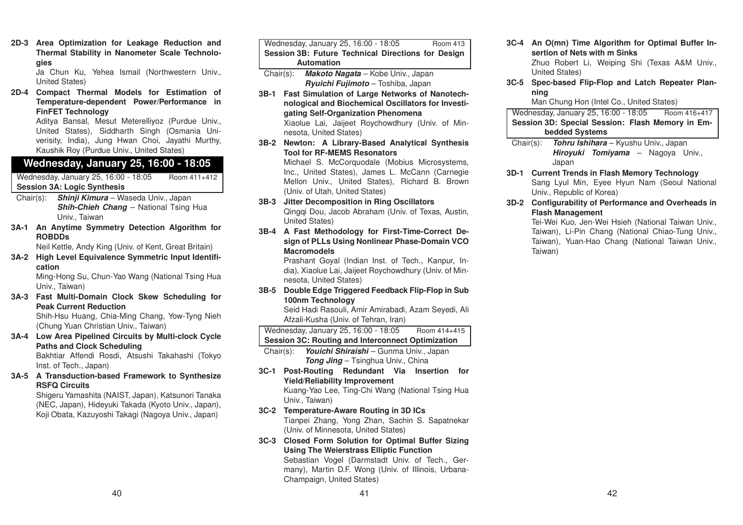**2D-3 Area Optimization for Leakage Reduction and Thermal Stability in Nanometer Scale Technologies** Ja Chun Ku, Yehea Ismail (Northwestern Univ.,

United States) **2D-4 Compact Thermal Models for Estimation of Temperature-dependent Power/Performance in FinFET Technology**

> Aditya Bansal, Mesut Meterelliyoz (Purdue Univ., United States), Siddharth Singh (Osmania Univerisity, India), Jung Hwan Choi, Jayathi Murthy, Kaushik Roy (Purdue Univ., United States)

# **Wednesday, January 25, 16:00 - 18:05**

Wednesday, January 25, 16:00 - 18:05 Room 411+412 **Session 3A: Logic Synthesis**

- Chair(s): *Shinji Kimura* Waseda Univ., Japan *Shih-Chieh Chang* – National Tsing Hua Univ., Taiwan
- **3A-1 An Anytime Symmetry Detection Algorithm for ROBDDs**

Neil Kettle, Andy King (Univ. of Kent, Great Britain)

**3A-2 High Level Equivalence Symmetric Input Identification**Ming-Hong Su, Chun-Yao Wang (National Tsing Hua

Univ., Taiwan) **3A-3 Fast Multi-Domain Clock Skew Scheduling for**

# **Peak Current Reduction**

Shih-Hsu Huang, Chia-Ming Chang, Yow-Tyng Nieh (Chung Yuan Christian Univ., Taiwan)

- **3A-4 Low Area Pipelined Circuits by Multi-clock Cycle Paths and Clock Scheduling** Bakhtiar Affendi Rosdi, Atsushi Takahashi (Tokyo Inst. of Tech., Japan)
- **3A-5 A Transduction-based Framework to Synthesize RSFQ Circuits**

Shigeru Yamashita (NAIST, Japan), Katsunori Tanaka (NEC, Japan), Hideyuki Takada (Kyoto Univ., Japan), Koji Obata, Kazuyoshi Takagi (Nagoya Univ., Japan)

Wednesday, January 25, 16:00 - 18:05 Room 413 **Session 3B: Future Technical Directions for Design Automation**Chair(s): *Makoto Nagata* – Kobe Univ., Japan

- *Ryuichi Fujimoto* Toshiba, Japan
- **3B-1 Fast Simulation of Large Networks of Nanotechnological and Biochemical Oscillators for Investigating Self-Organization Phenomena** Xiaolue Lai, Jaijeet Roychowdhury (Univ. of Minnesota, United States)
- **3B-2 Newton: A Library-Based Analytical Synthesis Tool for RF-MEMS Resonators**

Michael S. McCorquodale (Mobius Microsystems, Inc., United States), James L. McCann (Carnegie Mellon Univ., United States), Richard B. Brown (Univ. of Utah, United States)

- **3B-3 Jitter Decomposition in Ring Oscillators** Qingqi Dou, Jacob Abraham (Univ. of Texas, Austin, United States)
- **3B-4 A Fast Methodology for First-Time-Correct Design of PLLs Using Nonlinear Phase-Domain VCO Macromodels**

Prashant Goyal (Indian Inst. of Tech., Kanpur, India), Xiaolue Lai, Jaijeet Roychowdhury (Univ. of Minnesota, United States)

**3B-5 Double Edge Triggered Feedback Flip-Flop in Sub 100nm Technology**

Seid Hadi Rasouli, Amir Amirabadi, Azam Seyedi, Ali Afzali-Kusha (Univ. of Tehran, Iran)

Wednesday, January 25, 16:00 - 18:05 Room 414+415 **Session 3C: Routing and Interconnect Optimization**

- Chair(s): *Youichi Shiraishi* Gunma Univ., Japan *Tong Jing* – Tsinghua Univ., China
- **3C-1 Post-Routing Redundant Via Insertion for Yield/Reliability Improvement** Kuang-Yao Lee, Ting-Chi Wang (National Tsing Hua Univ., Taiwan)
- **3C-2 Temperature-Aware Routing in 3D ICs** Tianpei Zhang, Yong Zhan, Sachin S. Sapatnekar (Univ. of Minnesota, United States)
- **3C-3 Closed Form Solution for Optimal Buffer Sizing Using The Weierstrass Elliptic Function**

Sebastian Vogel (Darmstadt Univ. of Tech., Germany), Martin D.F. Wong (Univ. of Illinois, Urbana-Champaign, United States)

- **3C-4 An O(mn) Time Algorithm for Optimal Buffer Insertion of Nets with m Sinks**Zhuo Robert Li, Weiping Shi (Texas A&M Univ., United States)
- **3C-5 Spec-based Flip-Flop and Latch Repeater Planning**

Man Chung Hon (Intel Co., United States)

Wednesday, January 25, 16:00 - 18:05 Room 416+417 **Session 3D: Special Session: Flash Memory in Embedded Systems**

Chair(s): *Tohru Ishihara* – Kyushu Univ., Japan *Hiroyuki Tomiyama* – Nagoya Univ., Japan

- **3D-1 Current Trends in Flash Memory Technology** Sang Lyul Min, Eyee Hyun Nam (Seoul National Univ., Republic of Korea)
- **3D-2 Configurability of Performance and Overheads in Flash Management**

Tei-Wei Kuo, Jen-Wei Hsieh (National Taiwan Univ., Taiwan), Li-Pin Chang (National Chiao-Tung Univ., Taiwan), Yuan-Hao Chang (National Taiwan Univ., Taiwan)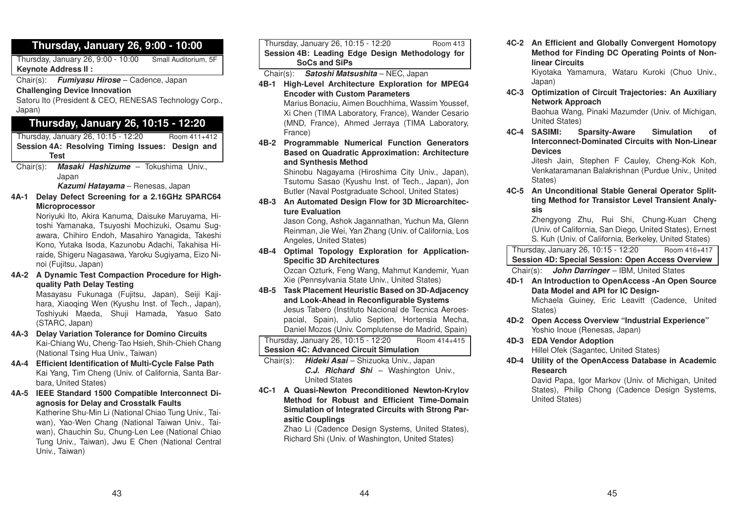# **Thursday, January 26, 9:00 - 10:00**

Thursday, January 26, 9:00 - 10:00 Small Auditorium, 5F **Keynote Address II :**

Chair(s): *Fumiyasu Hirose* – Cadence, Japan

**Challenging Device Innovation**

Satoru Ito (President & CEO, RENESAS Technology Corp., Japan)

# **Thursday, January 26, 10:15 - 12:20**

Thursday, January 26, 10:15 - 12:20 Room 411+412 **Session 4A: Resolving Timing Issues: Design and Test**

Chair(s): *Masaki Hashizume* – Tokushima Univ., Japan

*Kazumi Hatayama* – Renesas, Japan

**4A-1 Delay Defect Screening for <sup>a</sup> 2.16GHz SPARC64 Microprocessor**

Noriyuki Ito, Akira Kanuma, Daisuke Maruyama, Hitoshi Yamanaka, Tsuyoshi Mochizuki, Osamu Sugawara, Chihiro Endoh, Masahiro Yanagida, Takeshi Kono, Yutaka Isoda, Kazunobu Adachi, Takahisa Hiraide, Shigeru Nagasawa, Yaroku Sugiyama, Eizo Ninoi (Fujitsu, Japan)

**4A-2 A Dynamic Test Compaction Procedure for Highquality Path Delay Testing**

Masayasu Fukunaga (Fujitsu, Japan), Seiji Kajihara, Xiaoqing Wen (Kyushu Inst. of Tech., Japan), Toshiyuki Maeda, Shuji Hamada, Yasuo Sato (STARC, Japan)

- **4A-3 Delay Variation Tolerance for Domino Circuits** Kai-Chiang Wu, Cheng-Tao Hsieh, Shih-Chieh Chang (National Tsing Hua Univ., Taiwan)
- **4A-4 Efficient Identification of Multi-Cycle False Path** Kai Yang, Tim Cheng (Univ. of California, Santa Barbara, United States)
- **4A-5 IEEE Standard 1500 Compatible Interconnect Diagnosis for Delay and Crosstalk Faults**

Katherine Shu-Min Li (National Chiao Tung Univ., Taiwan), Yao-Wen Chang (National Taiwan Univ., Taiwan), Chauchin Su, Chung-Len Lee (National Chiao Tung Univ., Taiwan), Jwu E Chen (National Central Univ., Taiwan)

Thursday, January 26, 10:15 - 12:20 Room <sup>413</sup> **Session 4B: Leading Edge Design Methodology for SoCs and SiPs**

- Chair(s): *Satoshi Matsushita* NEC, Japan
- **4B-1 High-Level Architecture Exploration for MPEG4 Encoder with Custom Parameters**Marius Bonaciu, Aimen Bouchhima, Wassim Youssef, Xi Chen (TIMA Laboratory, France), Wander Cesario (MND, France), Ahmed Jerraya (TIMA Laboratory, France)
- **4B-2 Programmable Numerical Function Generators Based on Quadratic Approximation: Architecture and Synthesis Method**

Shinobu Nagayama (Hiroshima City Univ., Japan), Tsutomu Sasao (Kyushu Inst. of Tech., Japan), Jon Butler (Naval Postgraduate School, United States)

**4B-3 An Automated Design Flow for 3D Microarchitecture Evaluation**

Jason Cong, Ashok Jagannathan, Yuchun Ma, Glenn Reinman, Jie Wei, Yan Zhang (Univ. of California, Los Angeles, United States)

**4B-4 Optimal Topology Exploration for Application-Specific 3D Architectures**

Ozcan Ozturk, Feng Wang, Mahmut Kandemir, Yuan Xie (Pennsylvania State Univ., United States)

**4B-5 Task Placement Heuristic Based on 3D-Adjacency and Look-Ahead in Reconfigurable Systems** Jesus Tabero (Instituto Nacional de Tecnica Aeroespacial, Spain), Julio Septien, Hortensia Mecha, Daniel Mozos (Univ. Complutense de Madrid, Spain)

Thursday, January 26, 10:15 - 12:20 Room 414+415 **Session 4C: Advanced Circuit Simulation**

Chair(s): *Hideki Asai* – Shizuoka Univ., Japan *C.J. Richard Shi* – Washington Univ., United States

**4C-1 A Quasi-Newton Preconditioned Newton-Krylov Method for Robust and Efficient Time-Domain Simulation of Integrated Circuits with Strong Parasitic Couplings**

> Zhao Li (Cadence Design Systems, United States), Richard Shi (Univ. of Washington, United States)

**4C-2 An Efficient and Globally Convergent Homotopy Method for Finding DC Operating Points of Nonlinear Circuits**

Kiyotaka Yamamura, Wataru Kuroki (Chuo Univ., Japan)

**4C-3 Optimization of Circuit Trajectories: An Auxiliary Network Approach**

Baohua Wang, Pinaki Mazumder (Univ. of Michigan, United States)

**4C-4 SASIMI: Sparsity-Aware Simulation of Interconnect-Dominated Circuits with Non-LinearDevices**

Jitesh Jain, Stephen F Cauley, Cheng-Kok Koh, Venkataramanan Balakrishnan (Purdue Univ., United States)

**4C-5 An Unconditional Stable General Operator Splitting Method for Transistor Level Transient Analysis**

Zhengyong Zhu, Rui Shi, Chung-Kuan Cheng (Univ. of California, San Diego, United States), Ernest S. Kuh (Univ. of California, Berkeley, United States)

Thursday, January 26, 10:15 - 12:20 Room 416+417 **Session 4D: Special Session: Open Access Overview**

Chair(s): *John Darringer* – IBM, United States

- **4D-1 An Introduction to OpenAccess -An Open Source Data Model and API for IC Design-**Michaela Guiney, Eric Leavitt (Cadence, United States)
- **4D-2 Open Access Overview "Industrial Experience"** Yoshio Inoue (Renesas, Japan)
- **4D-3 EDA Vendor Adoption** Hillel Ofek (Sagantec, United States)
- **4D-4 Utility of the OpenAccess Database in Academic Research**

David Papa, Igor Markov (Univ. of Michigan, United States), Philip Chong (Cadence Design Systems, United States)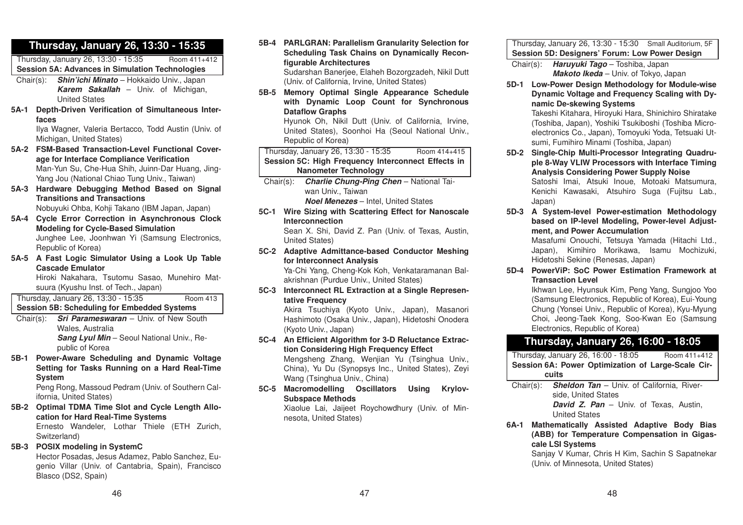# **Thursday, January 26, 13:30 - 15:35**

Thursday, January 26, 13:30 - 15:35 Room 411+412 **Session 5A: Advances in Simulation Technologies**

- Chair(s): *Shin'ichi Minato* Hokkaido Univ., Japan *Karem Sakallah* – Univ. of Michigan, United States
- **5A-1 Depth-Driven Verification of Simultaneous Interfaces**

Ilya Wagner, Valeria Bertacco, Todd Austin (Univ. of Michigan, United States)

- **5A-2 FSM-Based Transaction-Level Functional Coverage for Interface Compliance Verification** Man-Yun Su, Che-Hua Shih, Juinn-Dar Huang, Jing-Yang Jou (National Chiao Tung Univ., Taiwan)
- **5A-3 Hardware Debugging Method Based on Signal Transitions and Transactions**Nobuyuki Ohba, Kohji Takano (IBM Japan, Japan)
- **5A-4 Cycle Error Correction in Asynchronous Clock Modeling for Cycle-Based Simulation** Junghee Lee, Joonhwan Yi (Samsung Electronics, Republic of Korea)
- **5A-5 A Fast Logic Simulator Using <sup>a</sup> Look Up Table Cascade Emulator**

Hiroki Nakahara, Tsutomu Sasao, Munehiro Matsuura (Kyushu Inst. of Tech., Japan)

Thursday, January 26, 13:30 - 15:35 Room <sup>413</sup> **Session 5B: Scheduling for Embedded Systems**

- Chair(s): *Sri Parameswaran* Univ. of New South Wales, Australia *Sang Lyul Min* – Seoul National Univ., Republic of Korea
- **5B-1 Power-Aware Scheduling and Dynamic Voltage Setting for Tasks Running on <sup>a</sup> Hard Real-Time System**

Peng Rong, Massoud Pedram (Univ. of Southern California, United States)

**5B-2 Optimal TDMA Time Slot and Cycle Length Allocation for Hard Real-Time Systems**

Ernesto Wandeler, Lothar Thiele (ETH Zurich, Switzerland)

**5B-3 POSIX modeling in SystemC**

Hector Posadas, Jesus Adamez, Pablo Sanchez, Eugenio Villar (Univ. of Cantabria, Spain), Francisco Blasco (DS2, Spain)

**5B-4 PARLGRAN: Parallelism Granularity Selection for Scheduling Task Chains on Dynamically Reconfigurable Architectures** Sudarshan Banerjee, Elaheh Bozorgzadeh, Nikil Dutt

(Univ. of California, Irvine, United States)

**5B-5 Memory Optimal Single Appearance Schedule with Dynamic Loop Count for Synchronous Dataflow Graphs**

Hyunok Oh, Nikil Dutt (Univ. of California, Irvine, United States), Soonhoi Ha (Seoul National Univ., Republic of Korea)

### Thursday, January 26, 13:30 - 15:35 Room 414+415 **Session 5C: High Frequency Interconnect Effects in Nanometer Technology**

- Chair(s): *Charlie Chung-Ping Chen* National Taiwan Univ., Taiwan *Noel Menezes* – Intel, United States
- **5C-1 Wire Sizing with Scattering Effect for Nanoscale Interconnection**Sean X. Shi, David Z. Pan (Univ. of Texas, Austin,

United States)

**5C-2 Adaptive Admittance-based Conductor Meshing for Interconnect Analysis**

Ya-Chi Yang, Cheng-Kok Koh, Venkataramanan Balakrishnan (Purdue Univ., United States)

**5C-3 Interconnect RL Extraction at <sup>a</sup> Single Representative Frequency**

Akira Tsuchiya (Kyoto Univ., Japan), Masanori Hashimoto (Osaka Univ., Japan), Hidetoshi Onodera (Kyoto Univ., Japan)

**5C-4 An Efficient Algorithm for 3-D Reluctance Extraction Considering High Frequency Effect** Mengsheng Zhang, Wenjian Yu (Tsinghua Univ., China), Yu Du (Synopsys Inc., United States), Zeyi

Wang (Tsinghua Univ., China)

**5C-5 Macromodelling Oscillators Using Krylov-Subspace Methods**

Xiaolue Lai, Jaijeet Roychowdhury (Univ. of Minnesota, United States)

### Thursday, January 26, 13:30 - 15:30 Small Auditorium, 5F **Session 5D: Designers' Forum: Low Power Design**

Chair(s): *Haruyuki Tago* – Toshiba, Japan *Makoto Ikeda* – Univ. of Tokyo, Japan

**5D-1 Low-Power Design Methodology for Module-wise Dynamic Voltage and Frequency Scaling with Dynamic De-skewing Systems** Takeshi Kitahara, Hiroyuki Hara, Shinichiro Shiratake

(Toshiba, Japan), Yoshiki Tsukiboshi (Toshiba Microelectronics Co., Japan), Tomoyuki Yoda, Tetsuaki Utsumi, Fumihiro Minami (Toshiba, Japan)

- **5D-2 Single-Chip Multi-Processor Integrating Quadruple 8-Way VLIW Processors with Interface Timing Analysis Considering Power Supply Noise** Satoshi Imai, Atsuki Inoue, Motoaki Matsumura, Kenichi Kawasaki, Atsuhiro Suga (Fujitsu Lab., Japan)
- **5D-3 A System-level Power-estimation Methodology based on IP-level Modeling, Power-level Adjustment, and Power Accumulation**

Masafumi Onouchi, Tetsuya Yamada (Hitachi Ltd., Japan), Kimihiro Morikawa, Isamu Mochizuki, Hidetoshi Sekine (Renesas, Japan)

**5D-4 PowerViP: SoC Power Estimation Framework atTransaction Level**

Ikhwan Lee, Hyunsuk Kim, Peng Yang, Sungjoo Yoo (Samsung Electronics, Republic of Korea), Eui-Young Chung (Yonsei Univ., Republic of Korea), Kyu-Myung Choi, Jeong-Taek Kong, Soo-Kwan Eo (Samsung Electronics, Republic of Korea)

# **Thursday, January 26, 16:00 - 18:05**

Thursday, January 26, 16:00 - 18:05 Room 411+412 **Session 6A: Power Optimization of Large-Scale Circuits**

Chair(s): *Sheldon Tan* – Univ. of California, Riverside, United States

*David Z. Pan* – Univ. of Texas, Austin, United States

**6A-1 Mathematically Assisted Adaptive Body Bias (ABB) for Temperature Compensation in Gigascale LSI Systems**

> Sanjay V Kumar, Chris H Kim, Sachin S Sapatnekar (Univ. of Minnesota, United States)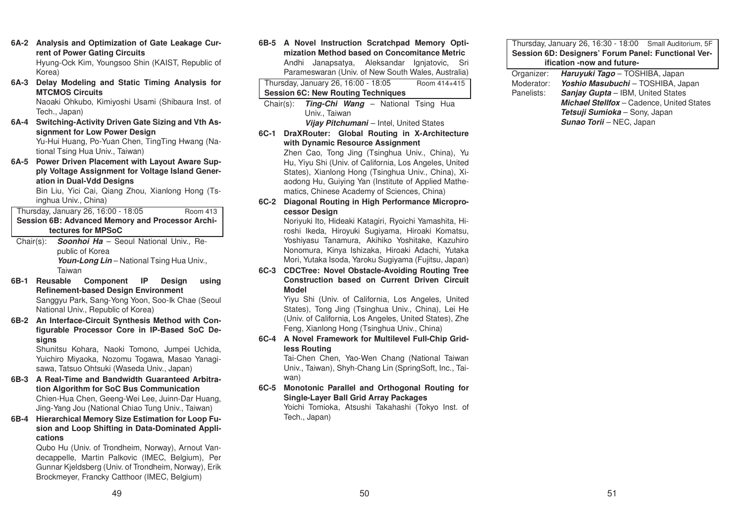- **6A-2 Analysis and Optimization of Gate Leakage Current of Power Gating Circuits** Hyung-Ock Kim, Youngsoo Shin (KAIST, Republic of Korea)
- **6A-3 Delay Modeling and Static Timing Analysis for MTCMOS Circuits**Naoaki Ohkubo, Kimiyoshi Usami (Shibaura Inst. of Tech., Japan)
- **6A-4 Switching-Activity Driven Gate Sizing and Vth Assignment for Low Power Design** Yu-Hui Huang, Po-Yuan Chen, TingTing Hwang (National Tsing Hua Univ., Taiwan)
- **6A-5 Power Driven Placement with Layout Aware Supply Voltage Assignment for Voltage Island Generation in Dual-Vdd Designs**

Bin Liu, Yici Cai, Qiang Zhou, Xianlong Hong (Tsinghua Univ., China)

Thursday, January 26, 16:00 - 18:05 Room <sup>413</sup> **Session 6B: Advanced Memory and Processor Architectures for MPSoC**

- Chair(s): *Soonhoi Ha* Seoul National Univ., Republic of Korea Youn-Long Lin – National Tsing Hua Univ., Taiwan
- **6B-1 Reusable Component IP Design using Refinement-based Design Environment** Sanggyu Park, Sang-Yong Yoon, Soo-Ik Chae (Seoul National Univ., Republic of Korea)
- **6B-2 An Interface-Circuit Synthesis Method with Configurable Processor Core in IP-Based SoC Designs**

Shunitsu Kohara, Naoki Tomono, Jumpei Uchida, Yuichiro Miyaoka, Nozomu Togawa, Masao Yanagisawa, Tatsuo Ohtsuki (Waseda Univ., Japan)

- **6B-3 A Real-Time and Bandwidth Guaranteed Arbitration Algorithm for SoC Bus Communication** Chien-Hua Chen, Geeng-Wei Lee, Juinn-Dar Huang, Jing-Yang Jou (National Chiao Tung Univ., Taiwan)
- **6B-4 Hierarchical Memory Size Estimation for Loop Fusion and Loop Shifting in Data-Dominated Applications**

Qubo Hu (Univ. of Trondheim, Norway), Arnout Vandecappelle, Martin Palkovic (IMEC, Belgium), Per Gunnar Kjeldsberg (Univ. of Trondheim, Norway), Erik Brockmeyer, Francky Catthoor (IMEC, Belgium)

**6B-5 A Novel Instruction Scratchpad Memory Optimization Method based on Concomitance Metric**Andhi Janapsatya, Aleksandar Ignjatovic, Sri

Parameswaran (Univ. of New South Wales, Australia)

|                                                        |                                                               | Thursday, January 26, 16:00 - 18:05 |  |                                         |  |  |  |  | Room 414+415                                 |
|--------------------------------------------------------|---------------------------------------------------------------|-------------------------------------|--|-----------------------------------------|--|--|--|--|----------------------------------------------|
| <b>Session 6C: New Routing Techniques</b>              |                                                               |                                     |  |                                         |  |  |  |  |                                              |
|                                                        | Chair(s): <b>Ting-Chi Wang</b> – National Tsing<br><b>Hua</b> |                                     |  |                                         |  |  |  |  |                                              |
|                                                        |                                                               | Univ., Taiwan                       |  |                                         |  |  |  |  |                                              |
|                                                        |                                                               |                                     |  | Vijay Pitchumani – Intel, United States |  |  |  |  |                                              |
| $6C-1$                                                 |                                                               |                                     |  |                                         |  |  |  |  | DraXRouter: Global Routing in X-Architecture |
|                                                        |                                                               | with Dynamic Resource Assignment    |  |                                         |  |  |  |  |                                              |
|                                                        | Zhen Cao, Tong Jing (Tsinghua Univ., China), Yu               |                                     |  |                                         |  |  |  |  |                                              |
| Hu, Yiyu Shi (Univ. of California, Los Angeles, United |                                                               |                                     |  |                                         |  |  |  |  |                                              |
| States), Xianlong Hong (Tsinghua Univ., China), Xi-    |                                                               |                                     |  |                                         |  |  |  |  |                                              |
| aodong Hu, Guiying Yan (Institute of Applied Mathe-    |                                                               |                                     |  |                                         |  |  |  |  |                                              |
| matics, Chinese Academy of Sciences, China)            |                                                               |                                     |  |                                         |  |  |  |  |                                              |
| $6C-2$                                                 | Diagonal Routing in High Performance Micropro-                |                                     |  |                                         |  |  |  |  |                                              |
| cessor Desian                                          |                                                               |                                     |  |                                         |  |  |  |  |                                              |

Noriyuki Ito, Hideaki Katagiri, Ryoichi Yamashita, Hiroshi Ikeda, Hiroyuki Sugiyama, Hiroaki Komatsu, Yoshiyasu Tanamura, Akihiko Yoshitake, Kazuhiro Nonomura, Kinya Ishizaka, Hiroaki Adachi, Yutaka Mori, Yutaka Isoda, Yaroku Sugiyama (Fujitsu, Japan)

**6C-3 CDCTree: Novel Obstacle-Avoiding Routing Tree Construction based on Current Driven CircuitModel**

Yiyu Shi (Univ. of California, Los Angeles, United States), Tong Jing (Tsinghua Univ., China), Lei He (Univ. of California, Los Angeles, United States), Zhe Feng, Xianlong Hong (Tsinghua Univ., China)

**6C-4 A Novel Framework for Multilevel Full-Chip Gridless Routing**

Tai-Chen Chen, Yao-Wen Chang (National Taiwan Univ., Taiwan), Shyh-Chang Lin (SpringSoft, Inc., Taiwan)

**6C-5 Monotonic Parallel and Orthogonal Routing for Single-Layer Ball Grid Array Packages**

Yoichi Tomioka, Atsushi Takahashi (Tokyo Inst. of Tech., Japan)

### Thursday, January 26, 16:30 - 18:00 Small Auditorium, 5F **Session 6D: Designers' Forum Panel: Functional Verification -now and future-**

| Organizer: | Haruyuki Tago - TOSHIBA, Japan                   |  |  |  |
|------------|--------------------------------------------------|--|--|--|
| Moderator: | Yoshio Masubuchi - TOSHIBA, Japan                |  |  |  |
| Panelists: | <b>Sanjay Gupta</b> – IBM, United States         |  |  |  |
|            | <b>Michael Stellfox</b> - Cadence, United States |  |  |  |
|            | Tetsuji Sumioka - Sony, Japan                    |  |  |  |
|            | <b>Sunao Torii - NEC, Japan</b>                  |  |  |  |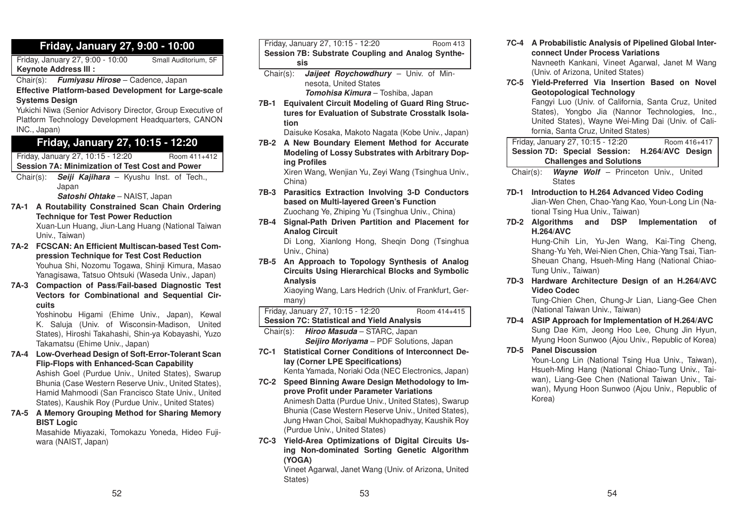# **Friday, January 27, 9:00 - 10:00**

Friday, January 27, 9:00 - 10:00 Small Auditorium, 5F **Keynote Address III :**

Chair(s): *Fumiyasu Hirose* – Cadence, Japan

**Effective Platform-based Development for Large-scale Systems Design**

Yukichi Niwa (Senior Advisory Director, Group Executive of Platform Technology Development Headquarters, CANON INC., Japan)

# **Friday, January 27, 10:15 - 12:20**

Friday, January 27, 10:15 - 12:20 Room 411+412 **Session 7A: Minimization of Test Cost and Power**

Chair(s): *Seiji Kajihara* – Kyushu Inst. of Tech., Japan

*Satoshi Ohtake* – NAIST, Japan

- **7A-1 A Routability Constrained Scan Chain Ordering Technique for Test Power Reduction** Xuan-Lun Huang, Jiun-Lang Huang (National Taiwan Univ., Taiwan)
- **7A-2 FCSCAN: An Efficient Multiscan-based Test Compression Technique for Test Cost Reduction** Youhua Shi, Nozomu Togawa, Shinji Kimura, Masao Yanagisawa, Tatsuo Ohtsuki (Waseda Univ., Japan)
- **7A-3 Compaction of Pass/Fail-based Diagnostic Test Vectors for Combinational and Sequential Circuits**

Yoshinobu Higami (Ehime Univ., Japan), Kewal K. Saluja (Univ. of Wisconsin-Madison, United States), Hiroshi Takahashi, Shin-ya Kobayashi, Yuzo Takamatsu (Ehime Univ., Japan)

**7A-4 Low-Overhead Design of Soft-Error-Tolerant Scan Flip-Flops with Enhanced-Scan Capability**

Ashish Goel (Purdue Univ., United States), Swarup Bhunia (Case Western Reserve Univ., United States), Hamid Mahmoodi (San Francisco State Univ., United States), Kaushik Roy (Purdue Univ., United States)

**7A-5 A Memory Grouping Method for Sharing Memory BIST Logic**

Masahide Miyazaki, Tomokazu Yoneda, Hideo Fujiwara (NAIST, Japan)

| Friday, January 27, 10:15 - 12:20                     | <b>Room 413</b> |  |  |  |  |
|-------------------------------------------------------|-----------------|--|--|--|--|
| Session 7B: Substrate Coupling and Analog Synthe-     |                 |  |  |  |  |
| sis                                                   |                 |  |  |  |  |
| Chair(s): <b>Jaijeet Roychowdhury</b> – Univ. of Min- |                 |  |  |  |  |

nesota, United States *Tomohisa Kimura* – Toshiba, Japan

**7B-1 Equivalent Circuit Modeling of Guard Ring Structures for Evaluation of Substrate Crosstalk Isolation**

Daisuke Kosaka, Makoto Nagata (Kobe Univ., Japan)

**7B-2 A New Boundary Element Method for Accurate Modeling of Lossy Substrates with Arbitrary Doping Profiles**

Xiren Wang, Wenjian Yu, Zeyi Wang (Tsinghua Univ., China)

- **7B-3 Parasitics Extraction Involving 3-D Conductors based on Multi-layered Green's Function** Zuochang Ye, Zhiping Yu (Tsinghua Univ., China)
- **7B-4 Signal-Path Driven Partition and Placement for Analog Circuit**

Di Long, Xianlong Hong, Sheqin Dong (Tsinghua Univ., China)

**7B-5 An Approach to Topology Synthesis of Analog Circuits Using Hierarchical Blocks and Symbolic Analysis**

> Xiaoying Wang, Lars Hedrich (Univ. of Frankfurt, Germany)

Friday, January 27, 10:15 - 12:20 Room 414+415 **Session 7C: Statistical and Yield Analysis**

Chair(s): *Hiroo Masuda* – STARC, Japan *Seijiro Moriyama* – PDF Solutions, Japan

**7C-1 Statistical Corner Conditions of Interconnect Delay (Corner LPE Specifications)**

Kenta Yamada, Noriaki Oda (NEC Electronics, Japan)

- **7C-2 Speed Binning Aware Design Methodology to Improve Profit under Parameter Variations** Animesh Datta (Purdue Univ., United States), Swarup Bhunia (Case Western Reserve Univ., United States), Jung Hwan Choi, Saibal Mukhopadhyay, Kaushik Roy (Purdue Univ., United States)
- **7C-3 Yield-Area Optimizations of Digital Circuits Using Non-dominated Sorting Genetic Algorithm (YOGA)**

Vineet Agarwal, Janet Wang (Univ. of Arizona, United States)

- **7C-4 A Probabilistic Analysis of Pipelined Global Interconnect Under Process Variations** Navneeth Kankani, Vineet Agarwal, Janet M Wang (Univ. of Arizona, United States)
- **7C-5 Yield-Preferred Via Insertion Based on NovelGeotopological Technology**

Fangyi Luo (Univ. of California, Santa Cruz, United States), Yongbo Jia (Nannor Technologies, Inc., United States), Wayne Wei-Ming Dai (Univ. of California, Santa Cruz, United States)

Friday, January 27, 10:15 - 12:20 Room 416+417 **Session 7D: Special Session: H.264/AVC Design Challenges and Solutions**

Chair(s): *Wayne Wolf* – Princeton Univ., United **States** 

- **7D-1 Introduction to H.264 Advanced Video Coding** Jian-Wen Chen, Chao-Yang Kao, Youn-Long Lin (National Tsing Hua Univ., Taiwan)
- **7D-2 Algorithms and DSP Implementation of H.264/AVC**

Hung-Chih Lin, Yu-Jen Wang, Kai-Ting Cheng, Shang-Yu Yeh, Wei-Nien Chen, Chia-Yang Tsai, Tian-Sheuan Chang, Hsueh-Ming Hang (National Chiao-Tung Univ., Taiwan)

**7D-3 Hardware Architecture Design of an H.264/AVC Video Codec**

Tung-Chien Chen, Chung-Jr Lian, Liang-Gee Chen (National Taiwan Univ., Taiwan)

- **7D-4 ASIP Approach for Implementation of H.264/AVC** Sung Dae Kim, Jeong Hoo Lee, Chung Jin Hyun, Myung Hoon Sunwoo (Ajou Univ., Republic of Korea)
- **7D-5 Panel Discussion**

Youn-Long Lin (National Tsing Hua Univ., Taiwan), Hsueh-Ming Hang (National Chiao-Tung Univ., Taiwan), Liang-Gee Chen (National Taiwan Univ., Taiwan), Myung Hoon Sunwoo (Ajou Univ., Republic of Korea)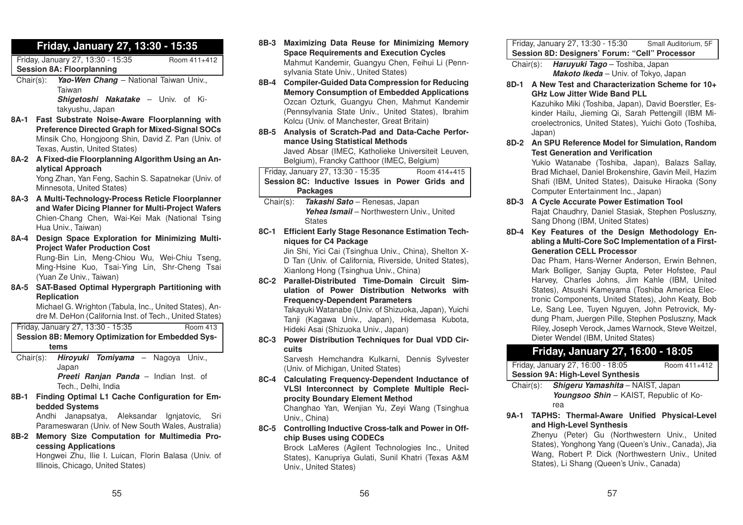# **Friday, January 27, 13:30 - 15:35**

Friday, January 27, 13:30 - 15:35 Room 411+412 **Session 8A: Floorplanning**

Chair(s): *Yao-Wen Chang* – National Taiwan Univ., Taiwan*Shigetoshi Nakatake* – Univ. of Ki-

takyushu, Japan

- **8A-1 Fast Substrate Noise-Aware Floorplanning with Preference Directed Graph for Mixed-Signal SOCs** Minsik Cho, Hongjoong Shin, David Z. Pan (Univ. of Texas, Austin, United States)
- **8A-2 A Fixed-die Floorplanning Algorithm Using an Analytical Approach**

Yong Zhan, Yan Feng, Sachin S. Sapatnekar (Univ. of Minnesota, United States)

- **8A-3 A Multi-Technology-Process Reticle Floorplanner and Wafer Dicing Planner for Multi-Project Wafers** Chien-Chang Chen, Wai-Kei Mak (National Tsing Hua Univ., Taiwan)
- **8A-4 Design Space Exploration for Minimizing Multi-Project Wafer Production Cost** Rung-Bin Lin, Meng-Chiou Wu, Wei-Chiu Tseng, Ming-Hsine Kuo, Tsai-Ying Lin, Shr-Cheng Tsai

(Yuan Ze Univ., Taiwan)

**8A-5 SAT-Based Optimal Hypergraph Partitioning with Replication**

Michael G. Wrighton (Tabula, Inc., United States), Andre M. DeHon (California Inst. of Tech., United States)

|                                                   | Friday, January 27, 13:30 - 15:35                                                                           | <b>Room 413</b> |  |  |  |  |
|---------------------------------------------------|-------------------------------------------------------------------------------------------------------------|-----------------|--|--|--|--|
| Session 8B: Memory Optimization for Embedded Sys- |                                                                                                             |                 |  |  |  |  |
|                                                   | tems                                                                                                        |                 |  |  |  |  |
|                                                   | Chair(s): <i>Hiroyuki Tomiyama</i> – Nagoya Univ.,<br>Japan<br><b>Preeti Ranjan Panda</b> – Indian Inst. of |                 |  |  |  |  |

Tech., Delhi, India

**8B-1 Finding Optimal L1 Cache Configuration for Embedded Systems**

Andhi Janapsatya, Aleksandar Ignjatovic, Sri Parameswaran (Univ. of New South Wales, Australia)

**8B-2 Memory Size Computation for Multimedia Processing Applications**

Hongwei Zhu, Ilie I. Luican, Florin Balasa (Univ. of Illinois, Chicago, United States)

- **8B-3 Maximizing Data Reuse for Minimizing Memory Space Requirements and Execution Cycles** Mahmut Kandemir, Guangyu Chen, Feihui Li (Pennsylvania State Univ., United States)
- **8B-4 Compiler-Guided Data Compression for Reducing Memory Consumption of Embedded Applications** Ozcan Ozturk, Guangyu Chen, Mahmut Kandemir (Pennsylvania State Univ., United States), Ibrahim Kolcu (Univ. of Manchester, Great Britain)
- **8B-5 Analysis of Scratch-Pad and Data-Cache Performance Using Statistical Methods** Javed Absar (IMEC, Katholieke Universiteit Leuven,

Belgium), Francky Catthoor (IMEC, Belgium)

Friday, January 27, 13:30 - 15:35 Room 414+415 **Session 8C: Inductive Issues in Power Grids andPackages**

Chair(s): *Takashi Sato* – Renesas, Japan *Yehea Ismail* – Northwestern Univ., United **States** 

**8C-1 Efficient Early Stage Resonance Estimation Techniques for C4 Package**

Jin Shi, Yici Cai (Tsinghua Univ., China), Shelton X-D Tan (Univ. of California, Riverside, United States), Xianlong Hong (Tsinghua Univ., China)

**8C-2 Parallel-Distributed Time-Domain Circuit Simulation of Power Distribution Networks withFrequency-Dependent Parameters**

Takayuki Watanabe (Univ. of Shizuoka, Japan), Yuichi Tanji (Kagawa Univ., Japan), Hidemasa Kubota, Hideki Asai (Shizuoka Univ., Japan)

**8C-3 Power Distribution Techniques for Dual VDD Circuits**

Sarvesh Hemchandra Kulkarni, Dennis Sylvester (Univ. of Michigan, United States)

**8C-4 Calculating Frequency-Dependent Inductance of VLSI Interconnect by Complete Multiple Reciprocity Boundary Element Method** Changhao Yan, Wenjian Yu, Zeyi Wang (Tsinghua Univ., China)

**8C-5 Controlling Inductive Cross-talk and Power in Offchip Buses using CODECs**

> Brock LaMeres (Agilent Technologies Inc., United States), Kanupriya Gulati, Sunil Khatri (Texas A&M Univ., United States)

Friday, January 27, 13:30 - 15:30 Small Auditorium, 5F **Session 8D: Designers' Forum: "Cell" Processor**

Chair(s): *Haruyuki Tago* – Toshiba, Japan *Makoto Ikeda* – Univ. of Tokyo, Japan

- **8D-1 A New Test and Characterization Scheme for 10+GHz Low Jitter Wide Band PLL**Kazuhiko Miki (Toshiba, Japan), David Boerstler, Eskinder Hailu, Jieming Qi, Sarah Pettengill (IBM Microelectronics, United States), Yuichi Goto (Toshiba, Japan)
- **8D-2 An SPU Reference Model for Simulation, Random Test Generation and Verification**

Yukio Watanabe (Toshiba, Japan), Balazs Sallay, Brad Michael, Daniel Brokenshire, Gavin Meil, Hazim Shafi (IBM, United States), Daisuke Hiraoka (Sony Computer Entertainment Inc., Japan)

- **8D-3 A Cycle Accurate Power Estimation Tool** Rajat Chaudhry, Daniel Stasiak, Stephen Posluszny, Sang Dhong (IBM, United States)
- **8D-4 Key Features of the Design Methodology Enabling <sup>a</sup> Multi-Core SoC Implementation of <sup>a</sup> First-Generation CELL Processor**

Dac Pham, Hans-Werner Anderson, Erwin Behnen, Mark Bolliger, Sanjay Gupta, Peter Hofstee, Paul Harvey, Charles Johns, Jim Kahle (IBM, United States), Atsushi Kameyama (Toshiba America Electronic Components, United States), John Keaty, Bob Le, Sang Lee, Tuyen Nguyen, John Petrovick, Mydung Pham, Juergen Pille, Stephen Posluszny, Mack Riley, Joseph Verock, James Warnock, Steve Weitzel, Dieter Wendel (IBM, United States)

# **Friday, January 27, 16:00 - 18:05**

|                                            | Friday, January 27, 16:00 - 18:05<br>Room 411+412 |  |  |  |  |  |
|--------------------------------------------|---------------------------------------------------|--|--|--|--|--|
| <b>Session 9A: High-Level Synthesis</b>    |                                                   |  |  |  |  |  |
| Chair(s): Shigery Yamashita – NAIST, Japan |                                                   |  |  |  |  |  |
|                                            | Youngsoo Shin - KAIST, Republic of Ko-            |  |  |  |  |  |

rea

**9A-1 TAPHS: Thermal-Aware Unified Physical-Level and High-Level Synthesis**

Zhenyu (Peter) Gu (Northwestern Univ., United States), Yonghong Yang (Queen's Univ., Canada), Jia Wang, Robert P. Dick (Northwestern Univ., United States), Li Shang (Queen's Univ., Canada)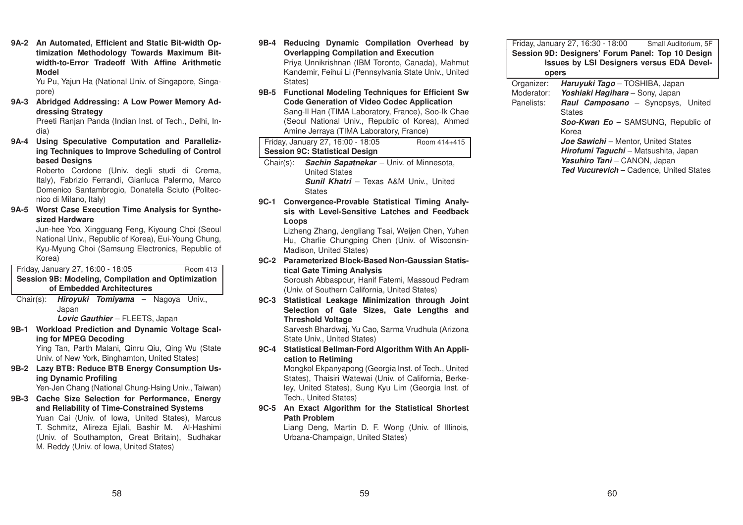**9A-2 An Automated, Efficient and Static Bit-width Optimization Methodology Towards Maximum Bitwidth-to-Error Tradeoff With Affine ArithmeticModel**

Yu Pu, Yajun Ha (National Univ. of Singapore, Singapore)

**9A-3 Abridged Addressing: A Low Power Memory Addressing Strategy**

> Preeti Ranjan Panda (Indian Inst. of Tech., Delhi, India)

**9A-4 Using Speculative Computation and Parallelizing Techniques to Improve Scheduling of Control based Designs**

> Roberto Cordone (Univ. degli studi di Crema, Italy), Fabrizio Ferrandi, Gianluca Palermo, Marco Domenico Santambrogio, Donatella Sciuto (Politecnico di Milano, Italy)

**9A-5 Worst Case Execution Time Analysis for Synthesized Hardware**

Jun-hee Yoo, Xingguang Feng, Kiyoung Choi (Seoul National Univ., Republic of Korea), Eui-Young Chung, Kyu-Myung Choi (Samsung Electronics, Republic of Korea)

Friday, January 27, 16:00 - 18:05 Room <sup>413</sup> **Session 9B: Modeling, Compilation and Optimization of Embedded Architectures**

Chair(s): *Hiroyuki Tomiyama* – Nagoya Univ., Japan

*Lovic Gauthier* – FLEETS, Japan

**9B-1 Workload Prediction and Dynamic Voltage Scaling for MPEG Decoding**

Ying Tan, Parth Malani, Qinru Qiu, Qing Wu (State Univ. of New York, Binghamton, United States)

**9B-2 Lazy BTB: Reduce BTB Energy Consumption Using Dynamic Profiling**

Yen-Jen Chang (National Chung-Hsing Univ., Taiwan)

**9B-3 Cache Size Selection for Performance, Energy and Reliability of Time-Constrained Systems** Yuan Cai (Univ. of Iowa, United States), Marcus T. Schmitz, Alireza Ejlali, Bashir M. Al-Hashimi (Univ. of Southampton, Great Britain), Sudhakar M. Reddy (Univ. of Iowa, United States)

- **9B-4 Reducing Dynamic Compilation Overhead by Overlapping Compilation and Execution** Priya Unnikrishnan (IBM Toronto, Canada), Mahmut Kandemir, Feihui Li (Pennsylvania State Univ., United States)
- **9B-5 Functional Modeling Techniques for Efficient Sw Code Generation of Video Codec Application** Sang-Il Han (TIMA Laboratory, France), Soo-Ik Chae (Seoul National Univ., Republic of Korea), Ahmed Amine Jerraya (TIMA Laboratory, France)

| Friday, January 27, 16:00 - 18:05     | Room 414+415 |
|---------------------------------------|--------------|
| <b>Session 9C: Statistical Design</b> |              |

- Chair(s): *Sachin Sapatnekar* Univ. of Minnesota, United States*Sunil Khatri* – Texas A&M Univ., United **States**
- **9C-1 Convergence-Provable Statistical Timing Analysis with Level-Sensitive Latches and FeedbackLoops**

Lizheng Zhang, Jengliang Tsai, Weijen Chen, Yuhen Hu, Charlie Chungping Chen (Univ. of Wisconsin-Madison, United States)

**9C-2 Parameterized Block-Based Non-Gaussian Statistical Gate Timing Analysis**

Soroush Abbaspour, Hanif Fatemi, Massoud Pedram (Univ. of Southern California, United States)

**9C-3 Statistical Leakage Minimization through Joint Selection of Gate Sizes, Gate Lengths and Threshold Voltage**

> Sarvesh Bhardwaj, Yu Cao, Sarma Vrudhula (Arizona State Univ., United States)

**9C-4 Statistical Bellman-Ford Algorithm With An Application to Retiming**

> Mongkol Ekpanyapong (Georgia Inst. of Tech., United States), Thaisiri Watewai (Univ. of California, Berkeley, United States), Sung Kyu Lim (Georgia Inst. of Tech., United States)

**9C-5 An Exact Algorithm for the Statistical Shortest Path Problem**

Liang Deng, Martin D. F. Wong (Univ. of Illinois, Urbana-Champaign, United States)

| Friday, January 27, 16:30 - 18:00                 | Small Auditorium, 5F |
|---------------------------------------------------|----------------------|
| Session 9D: Designers' Forum Panel: Top 10 Design |                      |
| <b>Issues by LSI Designers versus EDA Devel-</b>  |                      |
| opers                                             |                      |

| Organizer: | Haruyuki Tago - TOSHIBA, Japan                 |
|------------|------------------------------------------------|
| Moderator: | Yoshiaki Hagihara - Sony, Japan                |
| Panelists: | <b>Raul Camposano</b> - Synopsys, United       |
|            | <b>States</b>                                  |
|            | Soo-Kwan Eo - SAMSUNG, Republic of             |
|            | Korea                                          |
|            | <b>Joe Sawichi</b> – Mentor, United States     |
|            | Hirofumi Taguchi - Matsushita, Japan           |
|            | Yasuhiro Tani - CANON, Japan                   |
|            | <b>Ted Vucurevich</b> - Cadence, United States |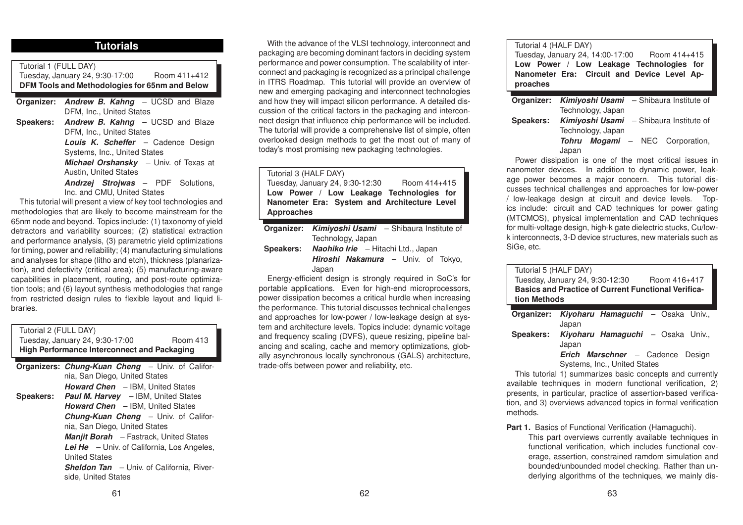# **Tutorials**

Tutorial 1 (FULL DAY) Tuesday, January 24, 9:30-17:00 Room 411+412 **DFM Tools and Methodologies for 65nm and Below**

**Organizer:** *Andrew B. Kahng* – UCSD and Blaze DFM, Inc., United States **Speakers:** *Andrew B. Kahng* – UCSD and Blaze DFM, Inc., United States

*Louis K. Scheffer* – Cadence Design Systems, Inc., United States *Michael Orshansky* – Univ. of Texas at

Austin, United States

*Andrzej Strojwas* – PDF Solutions, Inc. and CMU, United States

This tutorial will present <sup>a</sup> view of key tool technologies and methodologies that are likely to become mainstream for the 65nm node and beyond. Topics include: (1) taxonomy of yield detractors and variability sources; (2) statistical extraction and performance analysis, (3) parametric yield optimizations for timing, power and reliability; (4) manufacturing simulations and analyses for shape (litho and etch), thickness (planarization), and defectivity (critical area); (5) manufacturing-aware capabilities in placement, routing, and post-route optimization tools; and (6) layout synthesis methodologies that range from restricted design rules to flexible layout and liquid libraries.

| Tutorial 2 (FULL DAY)<br>Tuesday, January 24, 9:30-17:00<br>Room 413    |  |  |  |  |  |  |
|-------------------------------------------------------------------------|--|--|--|--|--|--|
| <b>High Performance Interconnect and Packaging</b>                      |  |  |  |  |  |  |
| <b>Organizers: Chung-Kuan Cheng</b> – Univ. of Califor-                 |  |  |  |  |  |  |
| nia, San Diego, United States                                           |  |  |  |  |  |  |
| <b>Howard Chen</b> - IBM, United States                                 |  |  |  |  |  |  |
| <b>Speakers:</b> Paul M. Harvey - IBM, United States                    |  |  |  |  |  |  |
| <b>Howard Chen</b> - IBM, United States                                 |  |  |  |  |  |  |
| Chung-Kuan Cheng - Univ. of Califor-                                    |  |  |  |  |  |  |
| nia, San Diego, United States                                           |  |  |  |  |  |  |
| <b>Manjit Borah</b> – Fastrack, United States                           |  |  |  |  |  |  |
| <b>Lei He</b> $-$ Univ. of California, Los Angeles,                     |  |  |  |  |  |  |
| <b>United States</b>                                                    |  |  |  |  |  |  |
| <b>Sheldon Tan</b> – Univ. of California, River-<br>side. United States |  |  |  |  |  |  |

With the advance of the VLSI technology, interconnect and packaging are becoming dominant factors in deciding system performance and power consumption. The scalability of interconnect and packaging is recognized as <sup>a</sup> principal challenge in ITRS Roadmap. This tutorial will provide an overview of new and emerging packaging and interconnect technologies and how they will impact silicon performance. A detailed discussion of the critical factors in the packaging and interconnect design that influence chip performance will be included. The tutorial will provide <sup>a</sup> comprehensive list of simple, often overlooked design methods to get the most out of many of today's most promising new packaging technologies.

| Tutorial 3 (HALF DAY)                        |                       |
|----------------------------------------------|-----------------------|
| Tuesday, January 24, 9:30-12:30              | Room 414+415          |
| Low Power / Low Leakage Technologies for     |                       |
| Nanometer Era: System and Architecture Level |                       |
| <b>Approaches</b>                            |                       |
|                                              |                       |
| Q                                            | $Chibawa$ laatituta a |

**Organizer:** *Kimiyoshi Usami* – Shibaura Institute of Technology, Japan

**Speakers:** *Naohiko Irie* – Hitachi Ltd., Japan *Hiroshi Nakamura* – Univ. of Tokyo, Japan

Energy-efficient design is strongly required in SoC's for portable applications. Even for high-end microprocessors, power dissipation becomes <sup>a</sup> critical hurdle when increasing the performance. This tutorial discusses technical challenges and approaches for low-power / low-leakage design at system and architecture levels. Topics include: dynamic voltage and frequency scaling (DVFS), queue resizing, pipeline balancing and scaling, cache and memory optimizations, globally asynchronous locally synchronous (GALS) architecture, trade-offs between power and reliability, etc.

### Tutorial 4 (HALF DAY) Tuesday, January 24, 14:00-17:00 Room 414+415 **Low Power / Low Leakage Technologies for Nanometer Era: Circuit and Device Level Approaches**

|           |       |                   | <b>Organizer:</b> Kimiyoshi Usami – Shibaura Institute of |  |                                                |
|-----------|-------|-------------------|-----------------------------------------------------------|--|------------------------------------------------|
|           |       | Technology, Japan |                                                           |  |                                                |
| Speakers: |       |                   |                                                           |  | <b>Kimiyoshi Usami</b> – Shibaura Institute of |
|           |       | Technology, Japan |                                                           |  |                                                |
|           | Tohru |                   |                                                           |  | <b>Mogami</b> – NEC Corporation,               |
|           | Japan |                   |                                                           |  |                                                |

Power dissipation is one of the most critical issues in nanometer devices. In addition to dynamic power, leakage power becomes <sup>a</sup> major concern. This tutorial discusses technical challenges and approaches for low-power / low-leakage design at circuit and device levels. Topics include: circuit and CAD techniques for power gating (MTCMOS), physical implementation and CAD techniques for multi-voltage design, high-k gate dielectric stucks, Cu/lowk interconnects, 3-D device structures, new materials such as SiGe, etc.

| Tutorial 5 (HALF DAY) |                                                            |
|-----------------------|------------------------------------------------------------|
|                       | Tuesday, January 24, 9:30-12:30<br>Room 416+417            |
|                       | <b>Basics and Practice of Current Functional Verifica-</b> |
| tion Methods          |                                                            |
|                       |                                                            |
|                       | Organizer: Kiyoharu Hamaguchi - Osaka Univ.,               |
|                       | Japan                                                      |
| Speakers:             | Kiyoharu Hamaguchi - Osaka Univ.,                          |
|                       | Japan                                                      |
|                       | <b>Erich Marschner</b> - Cadence Design                    |
|                       | Systems, Inc., United States                               |

This tutorial 1) summarizes basic concepts and currently available techniques in modern functional verification, 2) presents, in particular, practice of assertion-based verification, and 3) overviews advanced topics in formal verification methods.

**Part 1.** Basics of Functional Verification (Hamaguchi).

This part overviews currently available techniques in functional verification, which includes functional coverage, assertion, constrained ramdom simulation and bounded/unbounded model checking. Rather than underlying algorithms of the techniques, we mainly dis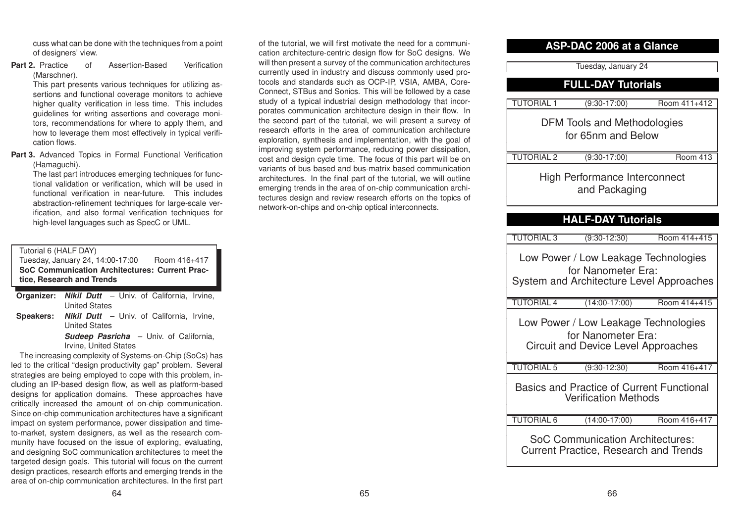cuss what can be done with the techniques from <sup>a</sup> point of designers' view.

**Part 2. Practice** of Assertion-Based Verification (Marschner).

> This part presents various techniques for utilizing assertions and functional coverage monitors to achieve higher quality verification in less time. This includes guidelines for writing assertions and coverage monitors, recommendations for where to apply them, and how to leverage them most effectively in typical verification flows.

**Part 3.** Advanced Topics in Formal Functional Verification (Hamaguchi).

The last part introduces emerging techniques for functional validation or verification, which will be used in functional verification in near-future. This includesabstraction-refinement techniques for large-scale verification, and also formal verification techniques for high-level languages such as SpecC or UML.

### Tutorial 6 (HALF DAY)

Tuesday, January 24, 14:00-17:00 Room 416+417 **SoC Communication Architectures: Current Practice, Research and Trends**

**Organizer:** *Nikil Dutt* – Univ. of California, Irvine, United States **Speakers:** *Nikil Dutt* – Univ. of California, Irvine, United States

**Sudeep Pasricha** – Univ. of California, Irvine, United States

The increasing complexity of Systems-on-Chip (SoCs) has led to the critical "design productivity gap" problem. Several strategies are being employed to cope with this problem, including an IP-based design flow, as well as platform-based designs for application domains. These approaches have critically increased the amount of on-chip communication. Since on-chip communication architectures have <sup>a</sup> significant impact on system performance, power dissipation and timeto-market, system designers, as well as the research community have focused on the issue of exploring, evaluating, and designing SoC communication architectures to meet the targeted design goals. This tutorial will focus on the current design practices, research efforts and emerging trends in the area of on-chip communication architectures. In the first part

of the tutorial, we will first motivate the need for <sup>a</sup> communication architecture-centric design flow for SoC designs. We will then present a survey of the communication architectures currently used in industry and discuss commonly used protocols and standards such as OCP-IP, VSIA, AMBA, Core-Connect, STBus and Sonics. This will be followed by <sup>a</sup> case study of a typical industrial design methodology that incorporates communication architecture design in their flow. In the second part of the tutorial, we will present <sup>a</sup> survey of research efforts in the area of communication architectureexploration, synthesis and implementation, with the goal of improving system performance, reducing power dissipation, cost and design cycle time. The focus of this part will be on variants of bus based and bus-matrix based communicationarchitectures. In the final part of the tutorial, we will outline emerging trends in the area of on-chip communication architectures design and review research efforts on the topics of network-on-chips and on-chip optical interconnects.

# **ASP-DAC 2006 at a Glance**

Tuesday, January 24

# **FULL-DAY Tutorials**

| <b>TUTORIAL 1</b> | $(9:30-17:00)$                                        | Room 411+412    |
|-------------------|-------------------------------------------------------|-----------------|
|                   | DFM Tools and Methodologies<br>for 65nm and Below     |                 |
| <b>TUTORIAL 2</b> | $(9:30-17:00)$                                        | <b>Room 413</b> |
|                   | <b>High Performance Interconnect</b><br>and Packaging |                 |

# **HALF-DAY Tutorials**

| TUTORIAL 3        | $(9:30-12:30)$                                                                                         | Room 414+415 |
|-------------------|--------------------------------------------------------------------------------------------------------|--------------|
|                   | Low Power / Low Leakage Technologies<br>for Nanometer Era:<br>System and Architecture Level Approaches |              |
| <b>TUTORIAL 4</b> | $(14:00-17:00)$                                                                                        | Room 414+415 |
|                   | Low Power / Low Leakage Technologies<br>for Nanometer Era:<br>Circuit and Device Level Approaches      |              |
| <b>TUTORIAL 5</b> | $(9:30-12:30)$                                                                                         | Room 416+417 |
|                   | <b>Basics and Practice of Current Functional</b><br><b>Verification Methods</b>                        |              |
| <b>TUTORIAL 6</b> | $(14:00-17:00)$                                                                                        | Room 416+417 |
|                   | SoC Communication Architectures:<br><b>Current Practice, Research and Trends</b>                       |              |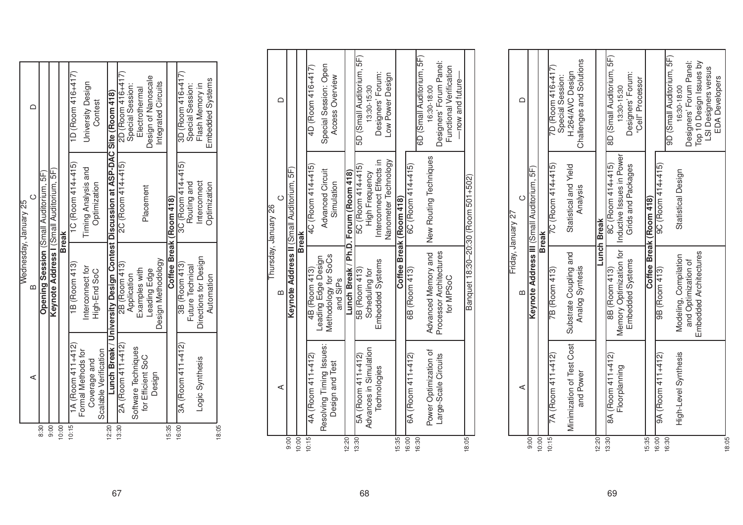|       |                                       |                                                                               | Wednesday, January 25                  |                     |
|-------|---------------------------------------|-------------------------------------------------------------------------------|----------------------------------------|---------------------|
|       | ⋖                                     |                                                                               |                                        |                     |
| 8:30  |                                       |                                                                               | Opening Session (Small Auditorium, 5F) |                     |
| 00.6  |                                       | Keynote Address I (Small Auditorium, 5F)                                      |                                        |                     |
| 10:00 |                                       |                                                                               | <b>Break</b>                           |                     |
| 10:15 | $1A($ Room 41 $1+412)$                | 1B (Room 413)                                                                 | $1C$ (Room 414+415)                    | 1D (Room 416+417)   |
|       | Formal Methods for                    | Interconnect for                                                              | Timing Analysis and                    | University Design   |
|       | Scalable Verification<br>Coverage and | High-End SoC                                                                  | Optimization                           | Contest             |
| 12:20 |                                       | Lunch Break / University Design Contest Discussion at ASP-DAC Site (Room 418) |                                        |                     |
| 13:30 | 2A (Room 411+412)                     | 2B (Room 413)                                                                 | 2C (Room 414+415)                      | 2D (Room 416+417)   |
|       | Software Techniques                   | Application                                                                   |                                        | Special Session:    |
|       | for Efficient SoC                     | Examples with                                                                 |                                        | Electrothermal      |
|       |                                       | Leading Edge                                                                  | Placement                              | Design of Nanoscale |
|       | Design                                | Design Methodology                                                            |                                        | Integrated Circuits |
| 15:35 |                                       |                                                                               | Coffee Break (Room 418)                |                     |
| 16:00 | $3A($ Room 411+412)                   | 3B (Room 413)                                                                 | $3C$ (Room 414+415)                    | $3D($ Room 416+417) |
|       |                                       | Future Technical                                                              | Routing and                            | Special Session:    |
|       | Logic Synthesis                       | Directions for Design                                                         | Interconnect                           | Flash Memory in     |
|       |                                       | Automation                                                                    | Optimization                           | Embedded Systems    |
| 18:05 |                                       |                                                                               |                                        |                     |

|       |                          |                                             | Thursday, January 26                      |                           |  |
|-------|--------------------------|---------------------------------------------|-------------------------------------------|---------------------------|--|
|       | ⋖                        | ≃                                           |                                           |                           |  |
| 00.6  |                          |                                             | Keynote Address II (Small Auditorium, 5F) |                           |  |
| 10:00 |                          |                                             | <b>Break</b>                              |                           |  |
| 10:15 | 4A (Room 411+412)        | 4B (Room 413)                               | 4C (Room 414+415)                         | 4D (Room 416+417)         |  |
|       | Resolving Timing Issues: | Methodology for SoCs<br>Leading Edge Design | <b>Advanced Circuit</b>                   | Special Session: Open     |  |
|       | Design and Test          | and SiPs                                    | Simulation                                | Access Overview           |  |
| 12:20 |                          |                                             | Lunch Break / Ph.D. Forum (Room 418)      |                           |  |
| 13:30 | 5A (Room 411+412)        | 5B (Room 413)                               | 5C (Room 414+415)                         | 5D (Small Auditorium, 5F) |  |
|       | Advances in Simulation   | Scheduling for                              | <b>High Frequency</b>                     | $13:30 - 15:30$           |  |
|       | Technologies             | Embedded Systems                            | Interconnect Effects in                   | Designers' Forum:         |  |
|       |                          |                                             | Nanometer Technology                      | Low Power Design          |  |
| 15:35 |                          |                                             | Coffee Break (Room 418)                   |                           |  |
| 16:00 | $6A$ (Room 411+412)      | 6B (Room 413)                               | 6C (Room 414+415)                         |                           |  |
| 16:30 |                          |                                             |                                           | 6D (Small Auditorium, 5F) |  |
|       | Power Optimization of    | Advanced Memory and                         | New Routing Techniques                    | 16:30-18:00               |  |
|       | Large-Scale Circuits     | Processor Architectures                     |                                           | Designers' Forum Panel:   |  |
|       |                          | for MPSoC                                   |                                           | Functional Verification   |  |
|       |                          |                                             |                                           | —now and future—          |  |
| 8:05  |                          |                                             | Banquet 18:30-20:30 (Room 501+502)        |                           |  |

|                    | ≏       |                                            |              | 7D (Room 416+417)   | Special Session: | H.264/AVC Design          | Challenges and Solutions |       |                    | 8D (Small Auditorium, 5F) | 13:30-15:30                                         | Designers' Forum:  | "Cell" Processor |                         |                       | 9D (Small Auditorium, 5F) | 16:30-18:00           | Designers' Forum Panel: | Top 10 Design Issues by       | LSI Designers versus | <b>EDA Developers</b> |       |
|--------------------|---------|--------------------------------------------|--------------|---------------------|------------------|---------------------------|--------------------------|-------|--------------------|---------------------------|-----------------------------------------------------|--------------------|------------------|-------------------------|-----------------------|---------------------------|-----------------------|-------------------------|-------------------------------|----------------------|-----------------------|-------|
| Friday, January 27 | $\circ$ | Keynote Address III (Small Auditorium, 5F) | <b>Break</b> | $7C$ (Room 414+415) |                  | Statistical and Yield     | Analysis                 |       | <b>Lunch Break</b> | 8C (Room 414+415)         | Memory Optimization for   Inductive Issues in Power | Grids and Packages |                  | Coffee Break (Room 418) | $9C$ (Room 414+415)   |                           | Statistical Design    |                         |                               |                      |                       |       |
|                    | ഥ       |                                            |              | 7B (Room 413)       |                  | Substrate Coupling and    | Analog Syntesis          |       |                    | 8B (Room 413)             |                                                     | Embedded Systems   |                  |                         | 9B (Room 413)         |                           | Modeling, Compilation | and Optimization of     | <b>Embedded Architectures</b> |                      |                       |       |
|                    | ⋖       |                                            |              | 7A (Room 411+412)   |                  | Minimization of Test Cost | and Power                |       |                    | 8A (Room 411+412)         | Floorplanning                                       |                    |                  |                         | $9A (Room 411 + 412)$ |                           | High-Level Synthesis  |                         |                               |                      |                       |       |
|                    |         | 9:00                                       | 10:00        | 10:15               |                  |                           |                          | 12:20 |                    | 13:30                     |                                                     |                    |                  | 15:35                   | 16:00                 | 16:30                     |                       |                         |                               |                      |                       | 18:05 |

67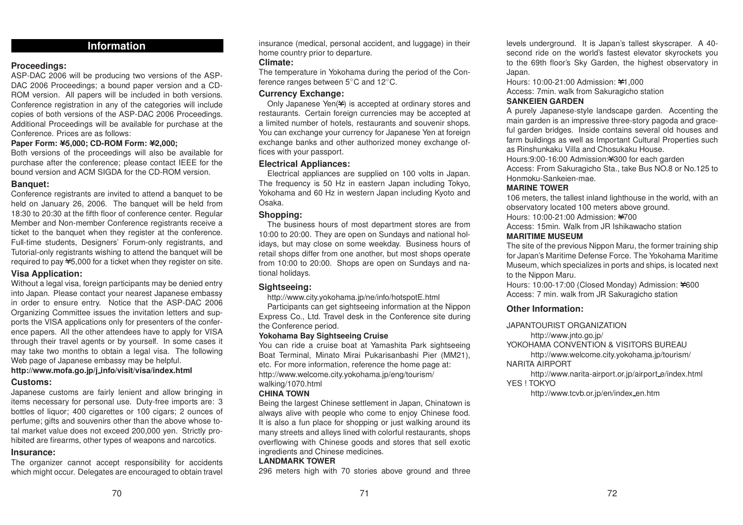# **Information**

# **Proceedings:**

ASP-DAC 2006 will be producing two versions of the ASP-DAC 2006 Proceedings; <sup>a</sup> bound paper version and <sup>a</sup> CD-ROM version. All papers will be included in both versions. Conference registration in any of the categories will include copies of both versions of the ASP-DAC 2006 Proceedings. Additional Proceedings will be available for purchase at the Conference. Prices are as follows:

### **Paper Form: Y5,000; CD-ROM Form: Y2,000;**

Both versions of the proceedings will also be available for purchase after the conference; please contact IEEE for the bound version and ACM SIGDA for the CD-ROM version.

### **Banquet:**

Conference registrants are invited to attend <sup>a</sup> banquet to be held on January 26, 2006. The banquet will be held from 18:30 to 20:30 at the fifth floor of conference center. Regular Member and Non-member Conference registrants receive <sup>a</sup> ticket to the banquet when they register at the conference. Full-time students, Designers' Forum-only registrants, and Tutorial-only registrants wishing to attend the banquet will be required to pay ¥5,000 for a ticket when they register on site.

# **Visa Application:**

Without <sup>a</sup> legal visa, foreign participants may be denied entry into Japan. Please contact your nearest Japanese embassy in order to ensure entry. Notice that the ASP-DAC 2006 Organizing Committee issues the invitation letters and supports the VISA applications only for presenters of the conference papers. All the other attendees have to apply for VISA through their travel agents or by yourself. In some cases it may take two months to obtain <sup>a</sup> legal visa. The following Web page of Japanese embassy may be helpful.

# **http://www.mofa.go.jp/j info/visit/visa/index.html**

### **Customs:**

Japanese customs are fairly lenient and allow bringing in items necessary for personal use. Duty-free imports are: 3 bottles of liquor; 400 cigarettes or 100 cigars; 2 ounces of perfume; gifts and souvenirs other than the above whose total market value does not exceed 200,000 yen. Strictly prohibited are firearms, other types of weapons and narcotics.

# **Insurance:**

The organizer cannot accept responsibility for accidents which might occur. Delegates are encouraged to obtain travel

insurance (medical, personal accident, and luggage) in their home country prior to departure.

# **Climate:**

The temperature in Yokohama during the period of the Conference ranges between 5◦C and 12◦C.

# **Currency Exchange:**

Only Japanese Yen(¥) is accepted at ordinary stores and restaurants. Certain foreign currencies may be accepted at <sup>a</sup> limited number of hotels, restaurants and souvenir shops. You can exchange your currency for Japanese Yen at foreign exchange banks and other authorized money exchange offices with your passport.

# **Electrical Appliances:**

Electrical appliances are supplied on 100 volts in Japan. The frequency is 50 Hz in eastern Japan including Tokyo, Yokohama and 60 Hz in western Japan including Kyoto and Osaka.

### **Shopping:**

The business hours of most department stores are from 10:00 to 20:00. They are open on Sundays and national holidays, but may close on some weekday. Business hours of retail shops differ from one another, but most shops operate from 10:00 to 20:00. Shops are open on Sundays and national holidays.

# **Sightseeing:**

http://www.city.yokohama.jp/ne/info/hotspotE.html

Participants can get sightseeing information at the Nippon Express Co., Ltd. Travel desk in the Conference site during the Conference period.

### **Yokohama Bay Sightseeing Cruise**

You can ride <sup>a</sup> cruise boat at Yamashita Park sightseeing Boat Terminal, Minato Mirai Pukarisanbashi Pier (MM21), etc. For more information, reference the home page at: http://www.welcome.city.yokohama.jp/eng/tourism/ walking/1070.html

# **CHINA TOWN**

Being the largest Chinese settlement in Japan, Chinatown is always alive with people who come to enjoy Chinese food. It is also <sup>a</sup> fun place for shopping or just walking around its many streets and alleys lined with colorful restaurants, shops overflowing with Chinese goods and stores that sell exotic ingredients and Chinese medicines.

# **LANDMARK TOWER**

296 meters high with 70 stories above ground and three

levels underground. It is Japan's tallest skyscraper. A 40 second ride on the world's fastest elevator skyrockets you to the 69th floor's Sky Garden, the highest observatory in Japan.

Hours: 10:00-21:00 Admission: ¥1,000 Access: 7min. walk from Sakuragicho station

**SANKEIEN GARDEN**

A purely Japanese-style landscape garden. Accenting the main garden is an impressive three-story pagoda and graceful garden bridges. Inside contains several old houses and farm buildings as well as Important Cultural Properties such as Rinshunkaku Villa and Chosukaku House.

Hours:9:00-16:00 Admission: ¥300 for each garden

Access: From Sakuragicho Sta., take Bus NO.8 or No.125 to Honmoku-Sankeien-mae.

### **MARINE TOWER**

106 meters, the tallest inland lighthouse in the world, with an observatory located 100 meters above ground.

Hours: 10:00-21:00 Admission: ¥700

Access: 15min. Walk from JR Ishikawacho station

# **MARITIME MUSEUM**

The site of the previous Nippon Maru, the former training ship for Japan's Maritime Defense Force. The Yokohama Maritime Museum, which specializes in ports and ships, is located next to the Nippon Maru.

Hours: 10:00-17:00 (Closed Monday) Admission: ¥600 Access: 7 min. walk from JR Sakuragicho station

# **Other Information:**

### JAPANTOURIST ORGANIZATION

http://www.jnto.go.jp/

YOKOHAMA CONVENTION & VISITORS BUREAU

http://www.welcome.city.yokohama.jp/tourism/ NARITA AIRPORT

http://www.narita-airport.or.jp/airport\_e/index.html YES ! TOKYO

http://www.tcvb.or.jp/en/index\_en.htm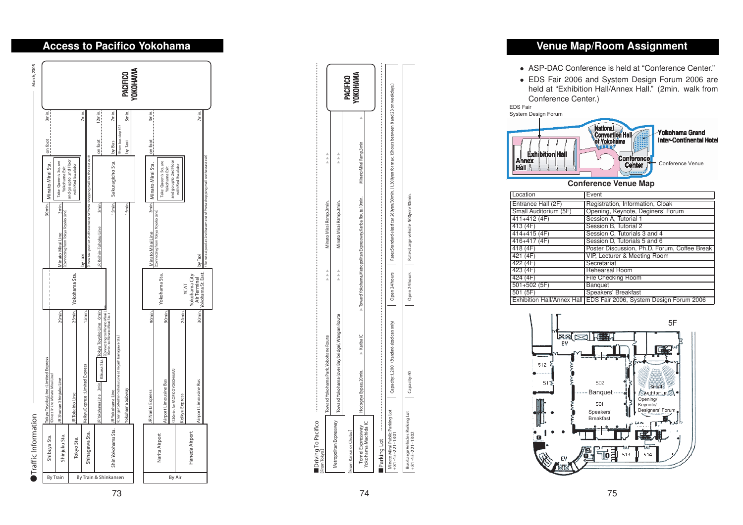# ٨**Traffic Information** March, 2005 Traffic Information

2005 È Á

|               | Shibuya Sta.       | Tokyu Toyoko_Line : Limited Express<br>(Direct link to Minato Mirai Line)                                                                     |                                                    |                                                                                    | 30min. Minato Mirai Sta.                    | 3min.<br>$\frac{1}{2}$<br>on foot     |                 |
|---------------|--------------------|-----------------------------------------------------------------------------------------------------------------------------------------------|----------------------------------------------------|------------------------------------------------------------------------------------|---------------------------------------------|---------------------------------------|-----------------|
| Shinjuku Sta. |                    | 29min.<br>JR Shonan Shinjuku Line                                                                                                             |                                                    | 3min.<br>Minato Mirai Line                                                         | Take Queen's Square<br>Yokohama Exit        |                                       |                 |
|               | Tokyo Sta.         | 25min.<br>JRTokaido Line                                                                                                                      | Yokohama Sta.                                      | (Connecting from Tokyu Toyoko Line)                                                | and go upto 2nd Floor<br>with Red Escalator |                                       |                 |
|               | Shinagawa Sta.     | 15min.<br>Keikyu Express : Limited Express                                                                                                    |                                                    | From taxi pool at 2nd basement of Porta shopping mall on the east exit.<br>by Taxi |                                             | 7min.                                 |                 |
|               | Shin Yokohama Sta. | JRYokohama Line 3min. Kikuna sta. Tokyu Toyoko Line 6min<br>(Connecting to Minato Mirai L<br>I Omin. to Minato Mirai Sta.)<br>JRYokohama Line |                                                    | 15min.<br>3min.<br>JR Keihin-Tohoku Line                                           | Sakuragicho Sta.                            | 12min.<br>7min.<br>onfoot<br>by Bus   |                 |
|               |                    | Change to Keihin-Tohoku Line at Higash ikanagawa-Sta.<br>Yokohama Subway                                                                      |                                                    | I Smin.                                                                            |                                             | Smin.<br>From bus stop #1)<br>by Taxi | <b>PACIFICO</b> |
|               |                    |                                                                                                                                               |                                                    |                                                                                    |                                             |                                       | <b>OKOHAMA</b>  |
|               |                    | 90 <sub>min</sub><br><b>JR Narita Express</b>                                                                                                 |                                                    | (Connecting from Tokyu Toyoko Line)<br>Minato Mirai Line                           | 3min. Minato Mirai Sta.                     | 3min.<br>on foot                      |                 |
|               | Narita Airport     | 90 <sub>min</sub><br>Airport Limousine Bus                                                                                                    | Yokohama Sta.                                      |                                                                                    | Take Queen's Square<br>Yokohama Exit        |                                       |                 |
|               |                    | (120min.for PACIFICO YOKOHAMA)                                                                                                                |                                                    |                                                                                    | and go upto 2nd Floor                       |                                       |                 |
|               |                    | 24min.<br>Keikyu Express                                                                                                                      | YCAT                                               |                                                                                    | with Red Escalator                          |                                       |                 |
|               | Haneda Airport     | 30min.<br>Airport Limousine Bus                                                                                                               | Yokohama St. East.<br>Yokohama City<br>AirTerminal | by Taxi                                                                            |                                             | 7min.                                 |                 |
|               |                    |                                                                                                                                               |                                                    | (From taxi pool at 2nd basement of Porta shopping mall on the east exit)           |                                             |                                       |                 |

| Driving To Pacifico<br>From Tokyo]                         |                         |                                                 |               |                                                                |                                                                                                 |          |
|------------------------------------------------------------|-------------------------|-------------------------------------------------|---------------|----------------------------------------------------------------|-------------------------------------------------------------------------------------------------|----------|
|                                                            |                         | Toward Yokohama Park, Yokohane Route            | $\frac{A}{A}$ | Minato Mirai Ramp, 3min.                                       | 人名                                                                                              |          |
| Metropolitan Expressway                                    |                         | Toward Yokohama (over Bay bridge), Wangan Route | $\frac{1}{4}$ | Minato Mirai Ramp, 3min.                                       | $\frac{A}{A}$                                                                                   |          |
| From Kansai or Chubu]                                      |                         |                                                 |               |                                                                |                                                                                                 | PACIFICO |
| Tomei Expressway                                           | Hodoqaya Bypass, 20min. | $\triangleright$ Kariba <sub>I</sub> C          |               | Toward Yokohama, Metropolitan Expressway, Kariba Route, 10min. | MinatolMirai Ramp, 3min                                                                         | OKOHAMA  |
| Yokohama Machida I                                         |                         |                                                 |               |                                                                |                                                                                                 |          |
|                                                            |                         |                                                 |               |                                                                |                                                                                                 |          |
| Minato Mirai Public Parking Lot<br>$+81 - 45 - 221 - 1301$ |                         | Capacity:1,200 (Standard-sized cars only)       | Open 24 hours |                                                                | Rates:Standard-sized car 260yen/30min. (1,300yen for max.15hours between 8 and 23 on weekdays.) |          |

**Bus/Large Vehicles Parking Lot Capacity:40 Open 24 hours Rates:Large vehicle 500yen/30min.**

 $\subseteq$ 

ñ,

ă

irking L

 $124h$ de

74

**+81-45-221-1302**

# **Venue Map/Room Assignment**

- ASP-DAC Conference is held at "Conference Center."
- EDS Fair 2006 and System Design Forum 2006 are held at "Exhibition Hall/Annex Hall." (2min. walk from Conference Center.)

EDS FairSystem Design Forum



**Conference Venue Map**

| Location              | Event                                                                |
|-----------------------|----------------------------------------------------------------------|
| Entrance Hall (2F)    | Registration, Information, Cloak                                     |
| Small Auditorium (5F) | Opening, Keynote, Deginers' Forum                                    |
| $411+412(4F)$         | Session A, Tutorial 1                                                |
| 413(4F)               | Session B, Tutorial 2                                                |
| 414+415 (4F)          | Session C, Tutorials 3 and 4                                         |
| 416+417 (4F)          | Session D, Tutorials 5 and 6                                         |
| 418(4F)               | Poster Discussion, Ph.D. Forum, Coffee Break                         |
| 421 (4F)              | VIP, Lecturer & Meeting Room                                         |
| 422 (4F)              | Secretariat                                                          |
| 423(4F)               | <b>Rehearsal Room</b>                                                |
| 424(4F)               | <b>File Checking Room</b>                                            |
| $501+502(5F)$         | <b>Banquet</b>                                                       |
| 501(5F)               | Speakers' Breakfast                                                  |
|                       | Exhibition Hall/Annex Hall   EDS Fair 2006, System Design Forum 2006 |



# 73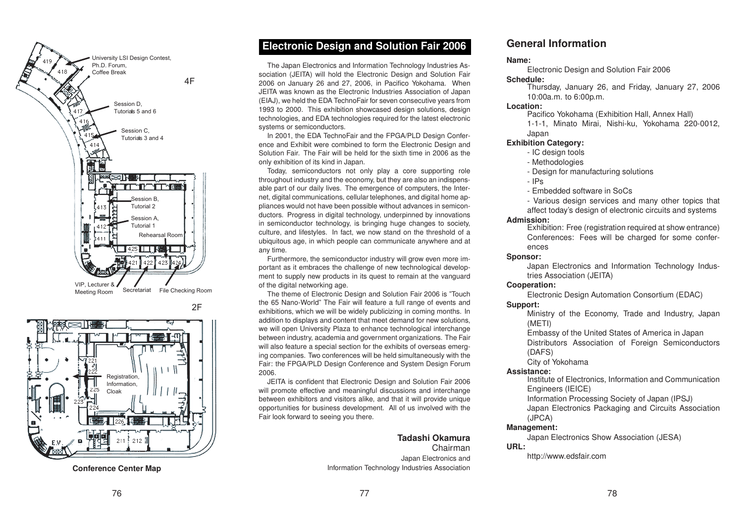



**Conference Center Map**

# **Electronic Design and Solution Fair 2006**

The Japan Electronics and Information Technology Industries Association (JEITA) will hold the Electronic Design and Solution Fair 2006 on January 26 and 27, 2006, in Pacifico Yokohama. When JEITA was known as the Electronic Industries Association of Japan (EIAJ), we held the EDA TechnoFair for seven consecutive years from 1993 to 2000. This exhibition showcased design solutions, design technologies, and EDA technologies required for the latest electronic systems or semiconductors.

In 2001, the EDA TechnoFair and the FPGA/PLD Design Conference and Exhibit were combined to form the Electronic Design and Solution Fair. The Fair will be held for the sixth time in 2006 as theonly exhibition of its kind in Japan.

Today, semiconductors not only play <sup>a</sup> core supporting role throughout industry and the economy, but they are also an indispensable part of our daily lives. The emergence of computers, the Internet, digital communications, cellular telephones, and digital home appliances would not have been possible without advances in semiconductors. Progress in digital technology, underpinned by innovations in semiconductor technology, is bringing huge changes to society, culture, and lifestyles. In fact, we now stand on the threshold of <sup>a</sup> ubiquitous age, in which people can communicate anywhere and at any time.

Furthermore, the semiconductor industry will grow even more important as it embraces the challenge of new technological development to supply new products in its quest to remain at the vanguard of the digital networking age.

The theme of Electronic Design and Solution Fair 2006 is "Touch the 65 Nano-World" The Fair will feature <sup>a</sup> full range of events and exhibitions, which we will be widely publicizing in coming months. In addition to displays and content that meet demand for new solutions, we will open University Plaza to enhance technological interchange between industry, academia and government organizations. The Fair will also feature a special section for the exhibits of overseas emerging companies. Two conferences will be held simultaneously with the Fair: the FPGA/PLD Design Conference and System Design Forum 2006.

JEITA is confident that Electronic Design and Solution Fair 2006 will promote effective and meaningful discussions and interchange between exhibitors and visitors alike, and that it will provide unique opportunities for business development. All of us involved with the Fair look forward to seeing you there.

### **Tadashi Okamura**

ChairmanJapan Electronics and Information Technology Industries Association

# **General Information**

### **Name:**

Electronic Design and Solution Fair 2006

### **Schedule:**

 Thursday, January 26, and Friday, January 27, 2006 10:00a.m. to 6:00p.m.

### **Location:**

Pacifico Yokohama (Exhibition Hall, Annex Hall)

1-1-1, Minato Mirai, Nishi-ku, Yokohama 220-0012, Japan

### **Exhibition Category:**

- IC design tools
- Methodologies
- Design for manufacturing solutions
- IPs

- Embedded software in SoCs

- Various design services and many other topics that affect today's design of electronic circuits and systems

### **Admission:**

Exhibition: Free (registration required at show entrance) Conferences: Fees will be charged for some conferences

### **Sponsor:**

Japan Electronics and Information Technology Industries Association (JEITA)

### **Cooperation:**

Electronic Design Automation Consortium (EDAC)

### **Support:**

Ministry of the Economy, Trade and Industry, Japan (METI)

Embassy of the United States of America in Japan

Distributors Association of Foreign Semiconductors (DAFS)

City of Yokohama

### **Assistance:**

Institute of Electronics, Information and Communication Engineers (IEICE)

Information Processing Society of Japan (IPSJ)

Japan Electronics Packaging and Circuits Association (JPCA)

### **Management:**

Japan Electronics Show Association (JESA)

### **URL:**

http://www.edsfair.com